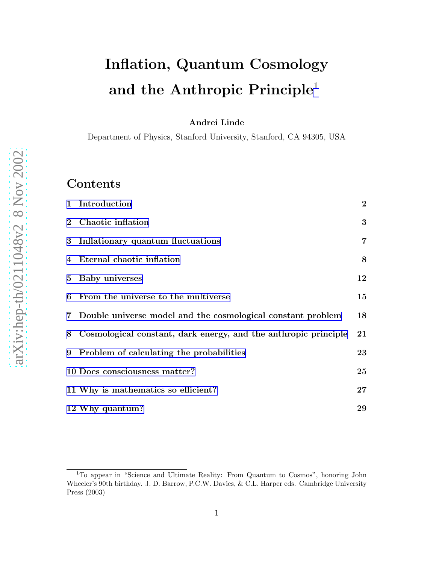# Inflation, Quantum Cosmology and the Anthropic Principle<sup>1</sup>

Andrei Linde

Department of Physics, Stanford University, Stanford, CA 94305, USA

# Contents

| 1 Introduction                                                    | $\overline{2}$ |
|-------------------------------------------------------------------|----------------|
| 2 Chaotic inflation                                               | 3              |
| 3 Inflationary quantum fluctuations                               | $\overline{7}$ |
| 4 Eternal chaotic inflation                                       | 8              |
| 5 Baby universes                                                  | 12             |
| 6 From the universe to the multiverse                             | 15             |
| 7 Double universe model and the cosmological constant problem     | 18             |
| 8 Cosmological constant, dark energy, and the anthropic principle | 21             |
| 9 Problem of calculating the probabilities                        | 23             |
| 10 Does consciousness matter?                                     | $25\,$         |
| 11 Why is mathematics so efficient?                               | $27\,$         |
| 12 Why quantum?                                                   | 29             |

<sup>1</sup>To appear in "Science and Ultimate Reality: From Quantum to Cosmos", honoring John Wheeler's 90th birthday. J. D. Barrow, P.C.W. Davies, & C.L. Harper eds. Cambridge University Press (2003)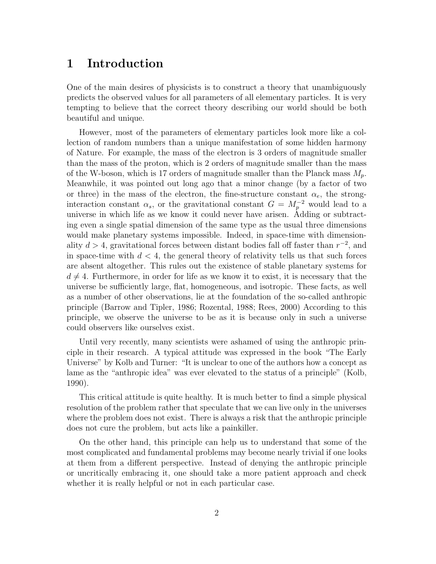### <span id="page-1-0"></span>1 Introduction

One of the main desires of physicists is to construct a theory that unambiguously predicts the observed values for all parameters of all elementary particles. It is very tempting to believe that the correct theory describing our world should be both beautiful and unique.

However, most of the parameters of elementary particles look more like a collection of random numbers than a unique manifestation of some hidden harmony of Nature. For example, the mass of the electron is 3 orders of magnitude smaller than the mass of the proton, which is 2 orders of magnitude smaller than the mass of the W-boson, which is 17 orders of magnitude smaller than the Planck mass  $M_p$ . Meanwhile, it was pointed out long ago that a minor change (by a factor of two or three) in the mass of the electron, the fine-structure constant  $\alpha_e$ , the stronginteraction constant  $\alpha_s$ , or the gravitational constant  $G = M_p^{-2}$  would lead to a universe in which life as we know it could never have arisen. Adding or subtracting even a single spatial dimension of the same type as the usual three dimensions would make planetary systems impossible. Indeed, in space-time with dimensionality  $d > 4$ , gravitational forces between distant bodies fall off faster than  $r^{-2}$ , and in space-time with  $d < 4$ , the general theory of relativity tells us that such forces are absent altogether. This rules out the existence of stable planetary systems for  $d \neq 4$ . Furthermore, in order for life as we know it to exist, it is necessary that the universe be sufficiently large, flat, homogeneous, and isotropic. These facts, as well as a number of other observations, lie at the foundation of the so-called anthropic principle (Barrow and Tipler, 1986; Rozental, 1988; Rees, 2000) According to this principle, we observe the universe to be as it is because only in such a universe could observers like ourselves exist.

Until very recently, many scientists were ashamed of using the anthropic principle in their research. A typical attitude was expressed in the book "The Early Universe" by Kolb and Turner: "It is unclear to one of the authors how a concept as lame as the "anthropic idea" was ever elevated to the status of a principle" (Kolb, 1990).

This critical attitude is quite healthy. It is much better to find a simple physical resolution of the problem rather that speculate that we can live only in the universes where the problem does not exist. There is always a risk that the anthropic principle does not cure the problem, but acts like a painkiller.

On the other hand, this principle can help us to understand that some of the most complicated and fundamental problems may become nearly trivial if one looks at them from a different perspective. Instead of denying the anthropic principle or uncritically embracing it, one should take a more patient approach and check whether it is really helpful or not in each particular case.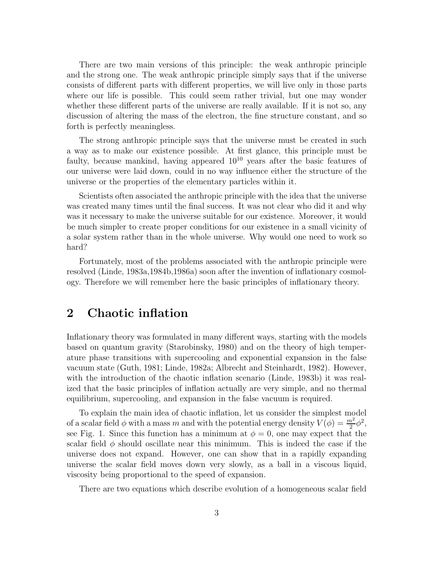<span id="page-2-0"></span>There are two main versions of this principle: the weak anthropic principle and the strong one. The weak anthropic principle simply says that if the universe consists of different parts with different properties, we will live only in those parts where our life is possible. This could seem rather trivial, but one may wonder whether these different parts of the universe are really available. If it is not so, any discussion of altering the mass of the electron, the fine structure constant, and so forth is perfectly meaningless.

The strong anthropic principle says that the universe must be created in such a way as to make our existence possible. At first glance, this principle must be faulty, because mankind, having appeared  $10^{10}$  years after the basic features of our universe were laid down, could in no way influence either the structure of the universe or the properties of the elementary particles within it.

Scientists often associated the anthropic principle with the idea that the universe was created many times until the final success. It was not clear who did it and why was it necessary to make the universe suitable for our existence. Moreover, it would be much simpler to create proper conditions for our existence in a small vicinity of a solar system rather than in the whole universe. Why would one need to work so hard?

Fortunately, most of the problems associated with the anthropic principle were resolved (Linde, 1983a,1984b,1986a) soon after the invention of inflationary cosmology. Therefore we will remember here the basic principles of inflationary theory.

#### 2 Chaotic inflation

Inflationary theory was formulated in many different ways, starting with the models based on quantum gravity (Starobinsky, 1980) and on the theory of high temperature phase transitions with supercooling and exponential expansion in the false vacuum state (Guth, 1981; Linde, 1982a; Albrecht and Steinhardt, 1982). However, with the introduction of the chaotic inflation scenario (Linde, 1983b) it was realized that the basic principles of inflation actually are very simple, and no thermal equilibrium, supercooling, and expansion in the false vacuum is required.

To explain the main idea of chaotic inflation, let us consider the simplest model of a scalar field  $\phi$  with a mass m and with the potential energy density  $V(\phi) = \frac{m^2}{2} \phi^2$ , see Fig. 1. Since this function has a minimum at  $\phi = 0$ , one may expect that the scalar field  $\phi$  should oscillate near this minimum. This is indeed the case if the universe does not expand. However, one can show that in a rapidly expanding universe the scalar field moves down very slowly, as a ball in a viscous liquid, viscosity being proportional to the speed of expansion.

There are two equations which describe evolution of a homogeneous scalar field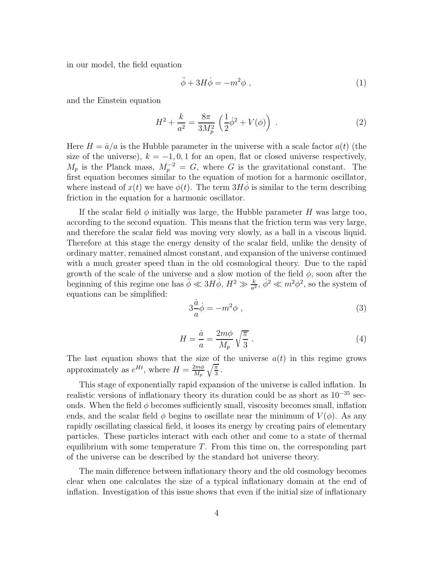<span id="page-3-0"></span>in our model, the field equation

$$
\ddot{\phi} + 3H\dot{\phi} = -m^2\phi \tag{1}
$$

and the Einstein equation

$$
H^{2} + \frac{k}{a^{2}} = \frac{8\pi}{3M_{p}^{2}} \left(\frac{1}{2}\dot{\phi}^{2} + V(\phi)\right) .
$$
 (2)

Here  $H = \dot{a}/a$  is the Hubble parameter in the universe with a scale factor  $a(t)$  (the size of the universe),  $k = -1, 0, 1$  for an open, flat or closed universe respectively,  $M_p$  is the Planck mass,  $M_p^{-2} = G$ , where G is the gravitational constant. The first equation becomes similar to the equation of motion for a harmonic oscillator, where instead of  $x(t)$  we have  $\phi(t)$ . The term  $3H\dot{\phi}$  is similar to the term describing friction in the equation for a harmonic oscillator.

If the scalar field  $\phi$  initially was large, the Hubble parameter H was large too, according to the second equation. This means that the friction term was very large, and therefore the scalar field was moving very slowly, as a ball in a viscous liquid. Therefore at this stage the energy density of the scalar field, unlike the density of ordinary matter, remained almost constant, and expansion of the universe continued with a much greater speed than in the old cosmological theory. Due to the rapid growth of the scale of the universe and a slow motion of the field  $\phi$ , soon after the beginning of this regime one has  $\ddot{\phi} \ll 3H\dot{\phi}$ ,  $H^2 \gg \frac{k}{a^2}$ ,  $\dot{\phi}^2 \ll m^2\phi^2$ , so the system of equations can be simplified:

$$
3\frac{\dot{a}}{a}\dot{\phi} = -m^2\phi \tag{3}
$$

$$
H = \frac{\dot{a}}{a} = \frac{2m\phi}{M_p} \sqrt{\frac{\pi}{3}} \tag{4}
$$

The last equation shows that the size of the universe  $a(t)$  in this regime grows approximately as  $e^{Ht}$ , where  $H = \frac{2m\phi}{M}$  $\frac{2m\phi}{M_{\mathcal{P}}} \, \sqrt{\frac{\pi}{3}}$  .

This stage of exponentially rapid expansion of the universe is called inflation. In realistic versions of inflationary theory its duration could be as short as  $10^{-35}$  seconds. When the field  $\phi$  becomes sufficiently small, viscosity becomes small, inflation ends, and the scalar field  $\phi$  begins to oscillate near the minimum of  $V(\phi)$ . As any rapidly oscillating classical field, it looses its energy by creating pairs of elementary particles. These particles interact with each other and come to a state of thermal equilibrium with some temperature  $T$ . From this time on, the corresponding part of the universe can be described by the standard hot universe theory.

The main difference between inflationary theory and the old cosmology becomes clear when one calculates the size of a typical inflationary domain at the end of inflation. Investigation of this issue shows that even if the initial size of inflationary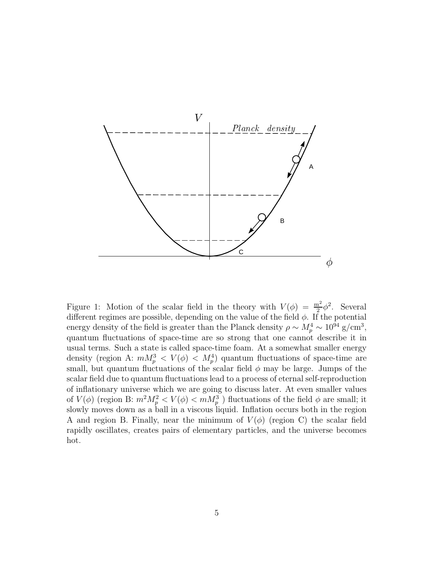

Figure 1: Motion of the scalar field in the theory with  $V(\phi) = \frac{m^2}{2}\phi^2$ . Several different regimes are possible, depending on the value of the field  $\phi$ . If the potential energy density of the field is greater than the Planck density  $\rho \sim M_p^4 \sim 10^{94}$  g/cm<sup>3</sup>, quantum fluctuations of space-time are so strong that one cannot describe it in usual terms. Such a state is called space-time foam. At a somewhat smaller energy density (region A:  $m M_p^3 < V(\phi) < M_p^4$ ) quantum fluctuations of space-time are small, but quantum fluctuations of the scalar field  $\phi$  may be large. Jumps of the scalar field due to quantum fluctuations lead to a process of eternal self-reproduction of inflationary universe which we are going to discuss later. At even smaller values of  $V(\phi)$  (region B:  $m^2 M_p^2 < V(\phi) < m M_p^3$ ) fluctuations of the field  $\phi$  are small; it slowly moves down as a ball in a viscous liquid. Inflation occurs both in the region A and region B. Finally, near the minimum of  $V(\phi)$  (region C) the scalar field rapidly oscillates, creates pairs of elementary particles, and the universe becomes hot.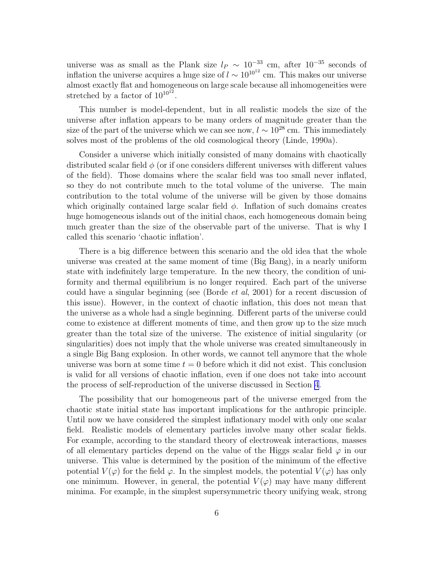universe was as small as the Plank size  $l_P \sim 10^{-33}$  cm, after  $10^{-35}$  seconds of inflation the universe acquires a huge size of  $l \sim 10^{10^{12}}$  cm. This makes our universe almost exactly flat and homogeneous on large scale because all inhomogeneities were stretched by a factor of  $10^{10^{12}}$ .

This number is model-dependent, but in all realistic models the size of the universe after inflation appears to be many orders of magnitude greater than the size of the part of the universe which we can see now,  $l \sim 10^{28}$  cm. This immediately solves most of the problems of the old cosmological theory (Linde, 1990a).

Consider a universe which initially consisted of many domains with chaotically distributed scalar field  $\phi$  (or if one considers different universes with different values of the field). Those domains where the scalar field was too small never inflated, so they do not contribute much to the total volume of the universe. The main contribution to the total volume of the universe will be given by those domains which originally contained large scalar field  $\phi$ . Inflation of such domains creates huge homogeneous islands out of the initial chaos, each homogeneous domain being much greater than the size of the observable part of the universe. That is why I called this scenario 'chaotic inflation'.

There is a big difference between this scenario and the old idea that the whole universe was created at the same moment of time (Big Bang), in a nearly uniform state with indefinitely large temperature. In the new theory, the condition of uniformity and thermal equilibrium is no longer required. Each part of the universe could have a singular beginning (see (Borde *et al*, 2001) for a recent discussion of this issue). However, in the context of chaotic inflation, this does not mean that the universe as a whole had a single beginning. Different parts of the universe could come to existence at different moments of time, and then grow up to the size much greater than the total size of the universe. The existence of initial singularity (or singularities) does not imply that the whole universe was created simultaneously in a single Big Bang explosion. In other words, we cannot tell anymore that the whole universe was born at some time  $t = 0$  before which it did not exist. This conclusion is valid for all versions of chaotic inflation, even if one does not take into account the process of self-reproduction of the universe discussed in Section [4](#page-7-0).

The possibility that our homogeneous part of the universe emerged from the chaotic state initial state has important implications for the anthropic principle. Until now we have considered the simplest inflationary model with only one scalar field. Realistic models of elementary particles involve many other scalar fields. For example, according to the standard theory of electroweak interactions, masses of all elementary particles depend on the value of the Higgs scalar field  $\varphi$  in our universe. This value is determined by the position of the minimum of the effective potential  $V(\varphi)$  for the field  $\varphi$ . In the simplest models, the potential  $V(\varphi)$  has only one minimum. However, in general, the potential  $V(\varphi)$  may have many different minima. For example, in the simplest supersymmetric theory unifying weak, strong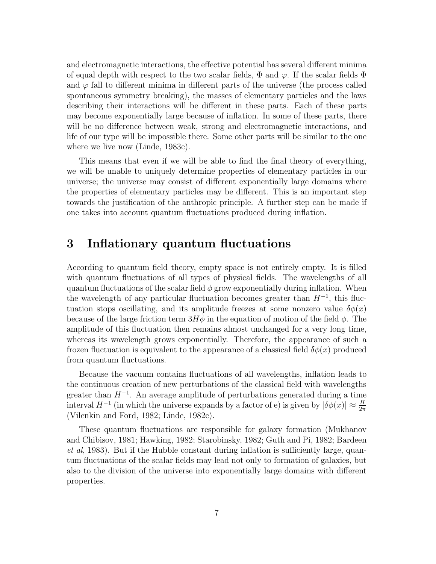<span id="page-6-0"></span>and electromagnetic interactions, the effective potential has several different minima of equal depth with respect to the two scalar fields,  $\Phi$  and  $\varphi$ . If the scalar fields  $\Phi$ and  $\varphi$  fall to different minima in different parts of the universe (the process called spontaneous symmetry breaking), the masses of elementary particles and the laws describing their interactions will be different in these parts. Each of these parts may become exponentially large because of inflation. In some of these parts, there will be no difference between weak, strong and electromagnetic interactions, and life of our type will be impossible there. Some other parts will be similar to the one where we live now (Linde, 1983c).

This means that even if we will be able to find the final theory of everything, we will be unable to uniquely determine properties of elementary particles in our universe; the universe may consist of different exponentially large domains where the properties of elementary particles may be different. This is an important step towards the justification of the anthropic principle. A further step can be made if one takes into account quantum fluctuations produced during inflation.

## 3 Inflationary quantum fluctuations

According to quantum field theory, empty space is not entirely empty. It is filled with quantum fluctuations of all types of physical fields. The wavelengths of all quantum fluctuations of the scalar field  $\phi$  grow exponentially during inflation. When the wavelength of any particular fluctuation becomes greater than  $H^{-1}$ , this fluctuation stops oscillating, and its amplitude freezes at some nonzero value  $\delta\phi(x)$ because of the large friction term  $3H\dot{\phi}$  in the equation of motion of the field  $\phi$ . The amplitude of this fluctuation then remains almost unchanged for a very long time, whereas its wavelength grows exponentially. Therefore, the appearance of such a frozen fluctuation is equivalent to the appearance of a classical field  $\delta\phi(x)$  produced from quantum fluctuations.

Because the vacuum contains fluctuations of all wavelengths, inflation leads to the continuous creation of new perturbations of the classical field with wavelengths greater than  $H^{-1}$ . An average amplitude of perturbations generated during a time interval  $H^{-1}$  (in which the universe expands by a factor of e) is given by  $|\delta \phi(x)| \approx \frac{H}{2\pi}$ (Vilenkin and Ford, 1982; Linde, 1982c).

These quantum fluctuations are responsible for galaxy formation (Mukhanov and Chibisov, 1981; Hawking, 1982; Starobinsky, 1982; Guth and Pi, 1982; Bardeen *et al*, 1983). But if the Hubble constant during inflation is sufficiently large, quantum fluctuations of the scalar fields may lead not only to formation of galaxies, but also to the division of the universe into exponentially large domains with different properties.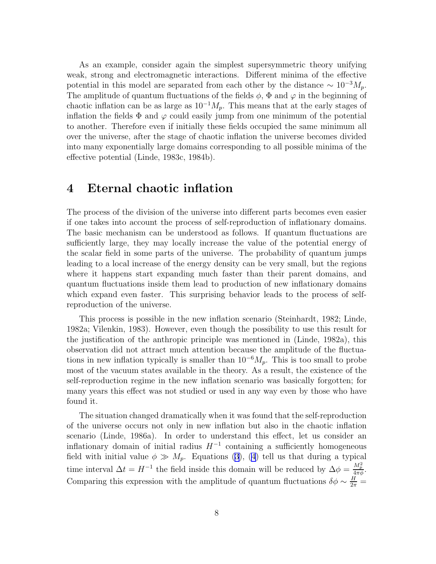<span id="page-7-0"></span>As an example, consider again the simplest supersymmetric theory unifying weak, strong and electromagnetic interactions. Different minima of the effective potential in this model are separated from each other by the distance  $\sim 10^{-3} M_p$ . The amplitude of quantum fluctuations of the fields  $\phi$ ,  $\Phi$  and  $\varphi$  in the beginning of chaotic inflation can be as large as  $10^{-1}M_p$ . This means that at the early stages of inflation the fields  $\Phi$  and  $\varphi$  could easily jump from one minimum of the potential to another. Therefore even if initially these fields occupied the same minimum all over the universe, after the stage of chaotic inflation the universe becomes divided into many exponentially large domains corresponding to all possible minima of the effective potential (Linde, 1983c, 1984b).

### 4 Eternal chaotic inflation

The process of the division of the universe into different parts becomes even easier if one takes into account the process of self-reproduction of inflationary domains. The basic mechanism can be understood as follows. If quantum fluctuations are sufficiently large, they may locally increase the value of the potential energy of the scalar field in some parts of the universe. The probability of quantum jumps leading to a local increase of the energy density can be very small, but the regions where it happens start expanding much faster than their parent domains, and quantum fluctuations inside them lead to production of new inflationary domains which expand even faster. This surprising behavior leads to the process of selfreproduction of the universe.

This process is possible in the new inflation scenario (Steinhardt, 1982; Linde, 1982a; Vilenkin, 1983). However, even though the possibility to use this result for the justification of the anthropic principle was mentioned in (Linde, 1982a), this observation did not attract much attention because the amplitude of the fluctuations in new inflation typically is smaller than  $10^{-6}M_p$ . This is too small to probe most of the vacuum states available in the theory. As a result, the existence of the self-reproduction regime in the new inflation scenario was basically forgotten; for many years this effect was not studied or used in any way even by those who have found it.

The situation changed dramatically when it was found that the self-reproduction of the universe occurs not only in new inflation but also in the chaotic inflation scenario (Linde, 1986a). In order to understand this effect, let us consider an inflationary domain of initial radius  $H^{-1}$  containing a sufficiently homogeneous field with initial value  $\phi \gg M_p$ . Equations [\(3\)](#page-3-0), [\(4](#page-3-0)) tell us that during a typical time interval  $\Delta t = H^{-1}$  the field inside this domain will be reduced by  $\Delta \phi = \frac{M_p^2}{4\pi \phi}$ . Comparing this expression with the amplitude of quantum fluctuations  $\delta \phi \sim \frac{H}{2\pi}$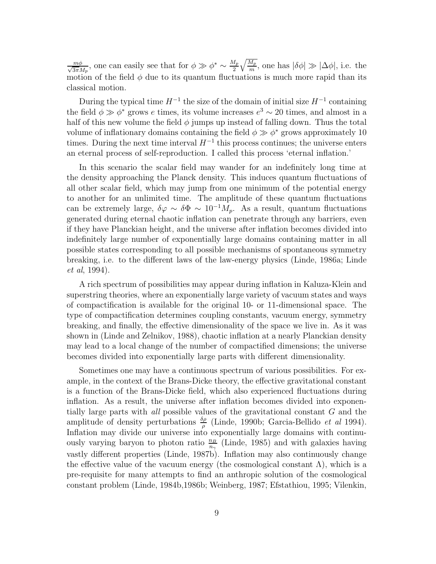$\frac{m\phi}{\sqrt{3\pi}\Lambda}$  $\frac{m\phi}{3\pi M_p}$ , one can easily see that for  $\phi \gg \phi^* \sim \frac{M_p}{2}$ 2  $\sqrt{M_p}$  $\frac{M_p}{m}$ , one has  $|\delta\phi| \gg |\Delta\phi|$ , i.e. the motion of the field  $\phi$  due to its quantum fluctuations is much more rapid than its classical motion.

During the typical time  $H^{-1}$  the size of the domain of initial size  $H^{-1}$  containing the field  $\phi \gg \phi^*$  grows e times, its volume increases  $e^3 \sim 20$  times, and almost in a half of this new volume the field  $\phi$  jumps up instead of falling down. Thus the total volume of inflationary domains containing the field  $\phi \gg \phi^*$  grows approximately 10 times. During the next time interval  $H^{-1}$  this process continues; the universe enters an eternal process of self-reproduction. I called this process 'eternal inflation.'

In this scenario the scalar field may wander for an indefinitely long time at the density approaching the Planck density. This induces quantum fluctuations of all other scalar field, which may jump from one minimum of the potential energy to another for an unlimited time. The amplitude of these quantum fluctuations can be extremely large,  $\delta\varphi \sim \delta\Phi \sim 10^{-1} M_p$ . As a result, quantum fluctuations generated during eternal chaotic inflation can penetrate through any barriers, even if they have Planckian height, and the universe after inflation becomes divided into indefinitely large number of exponentially large domains containing matter in all possible states corresponding to all possible mechanisms of spontaneous symmetry breaking, i.e. to the different laws of the law-energy physics (Linde, 1986a; Linde *et al*, 1994).

A rich spectrum of possibilities may appear during inflation in Kaluza-Klein and superstring theories, where an exponentially large variety of vacuum states and ways of compactification is available for the original 10- or 11-dimensional space. The type of compactification determines coupling constants, vacuum energy, symmetry breaking, and finally, the effective dimensionality of the space we live in. As it was shown in (Linde and Zelnikov, 1988), chaotic inflation at a nearly Planckian density may lead to a local change of the number of compactified dimensions; the universe becomes divided into exponentially large parts with different dimensionality.

Sometimes one may have a continuous spectrum of various possibilities. For example, in the context of the Brans-Dicke theory, the effective gravitational constant is a function of the Brans-Dicke field, which also experienced fluctuations during inflation. As a result, the universe after inflation becomes divided into exponentially large parts with *all* possible values of the gravitational constant G and the amplitude of density perturbations  $\frac{\delta \rho}{\rho}$  (Linde, 1990b; Garcia-Bellido *et al* 1994). Inflation may divide our universe into exponentially large domains with continuously varying baryon to photon ratio  $\frac{n_B}{n_\gamma}$  (Linde, 1985) and with galaxies having vastly different properties (Linde, 1987b). Inflation may also continuously change the effective value of the vacuum energy (the cosmological constant  $\Lambda$ ), which is a pre-requisite for many attempts to find an anthropic solution of the cosmological constant problem (Linde, 1984b,1986b; Weinberg, 1987; Efstathiou, 1995; Vilenkin,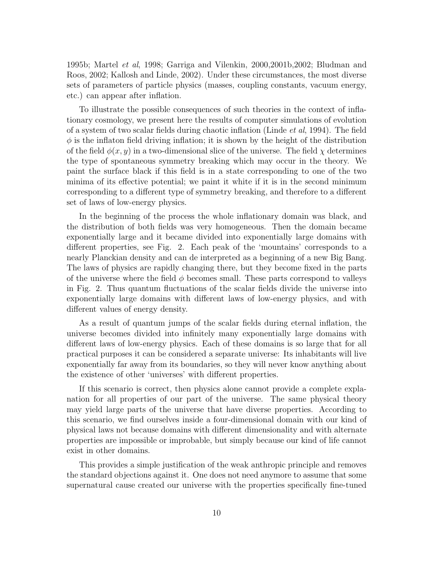1995b; Martel *et al*, 1998; Garriga and Vilenkin, 2000,2001b,2002; Bludman and Roos, 2002; Kallosh and Linde, 2002). Under these circumstances, the most diverse sets of parameters of particle physics (masses, coupling constants, vacuum energy, etc.) can appear after inflation.

To illustrate the possible consequences of such theories in the context of inflationary cosmology, we present here the results of computer simulations of evolution of a system of two scalar fields during chaotic inflation (Linde *et al*, 1994). The field  $\phi$  is the inflaton field driving inflation; it is shown by the height of the distribution of the field  $\phi(x, y)$  in a two-dimensional slice of the universe. The field  $\chi$  determines the type of spontaneous symmetry breaking which may occur in the theory. We paint the surface black if this field is in a state corresponding to one of the two minima of its effective potential; we paint it white if it is in the second minimum corresponding to a different type of symmetry breaking, and therefore to a different set of laws of low-energy physics.

In the beginning of the process the whole inflationary domain was black, and the distribution of both fields was very homogeneous. Then the domain became exponentially large and it became divided into exponentially large domains with different properties, see Fig. 2. Each peak of the 'mountains' corresponds to a nearly Planckian density and can de interpreted as a beginning of a new Big Bang. The laws of physics are rapidly changing there, but they become fixed in the parts of the universe where the field  $\phi$  becomes small. These parts correspond to valleys in Fig. 2. Thus quantum fluctuations of the scalar fields divide the universe into exponentially large domains with different laws of low-energy physics, and with different values of energy density.

As a result of quantum jumps of the scalar fields during eternal inflation, the universe becomes divided into infinitely many exponentially large domains with different laws of low-energy physics. Each of these domains is so large that for all practical purposes it can be considered a separate universe: Its inhabitants will live exponentially far away from its boundaries, so they will never know anything about the existence of other 'universes' with different properties.

If this scenario is correct, then physics alone cannot provide a complete explanation for all properties of our part of the universe. The same physical theory may yield large parts of the universe that have diverse properties. According to this scenario, we find ourselves inside a four-dimensional domain with our kind of physical laws not because domains with different dimensionality and with alternate properties are impossible or improbable, but simply because our kind of life cannot exist in other domains.

This provides a simple justification of the weak anthropic principle and removes the standard objections against it. One does not need anymore to assume that some supernatural cause created our universe with the properties specifically fine-tuned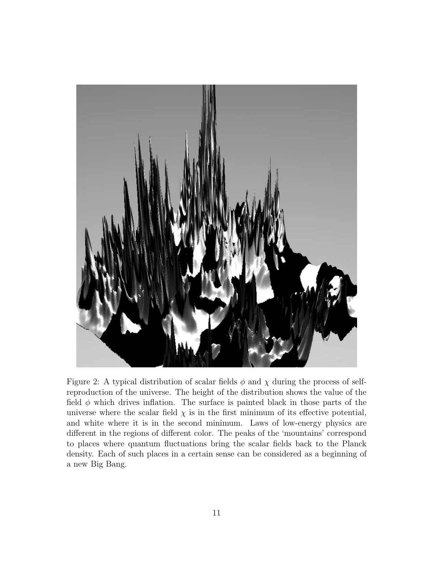

Figure 2: A typical distribution of scalar fields  $\phi$  and  $\chi$  during the process of selfreproduction of the universe. The height of the distribution shows the value of the field  $\phi$  which drives inflation. The surface is painted black in those parts of the universe where the scalar field  $\chi$  is in the first minimum of its effective potential, and white where it is in the second minimum. Laws of low-energy physics are different in the regions of different color. The peaks of the 'mountains' correspond to places where quantum fluctuations bring the scalar fields back to the Planck density. Each of such places in a certain sense can be considered as a beginning of a new Big Bang.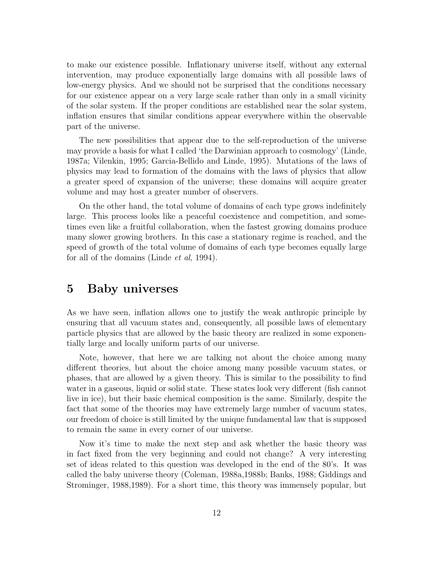<span id="page-11-0"></span>to make our existence possible. Inflationary universe itself, without any external intervention, may produce exponentially large domains with all possible laws of low-energy physics. And we should not be surprised that the conditions necessary for our existence appear on a very large scale rather than only in a small vicinity of the solar system. If the proper conditions are established near the solar system, inflation ensures that similar conditions appear everywhere within the observable part of the universe.

The new possibilities that appear due to the self-reproduction of the universe may provide a basis for what I called 'the Darwinian approach to cosmology' (Linde, 1987a; Vilenkin, 1995; Garcia-Bellido and Linde, 1995). Mutations of the laws of physics may lead to formation of the domains with the laws of physics that allow a greater speed of expansion of the universe; these domains will acquire greater volume and may host a greater number of observers.

On the other hand, the total volume of domains of each type grows indefinitely large. This process looks like a peaceful coexistence and competition, and sometimes even like a fruitful collaboration, when the fastest growing domains produce many slower growing brothers. In this case a stationary regime is reached, and the speed of growth of the total volume of domains of each type becomes equally large for all of the domains (Linde *et al*, 1994).

#### 5 Baby universes

As we have seen, inflation allows one to justify the weak anthropic principle by ensuring that all vacuum states and, consequently, all possible laws of elementary particle physics that are allowed by the basic theory are realized in some exponentially large and locally uniform parts of our universe.

Note, however, that here we are talking not about the choice among many different theories, but about the choice among many possible vacuum states, or phases, that are allowed by a given theory. This is similar to the possibility to find water in a gaseous, liquid or solid state. These states look very different (fish cannot live in ice), but their basic chemical composition is the same. Similarly, despite the fact that some of the theories may have extremely large number of vacuum states, our freedom of choice is still limited by the unique fundamental law that is supposed to remain the same in every corner of our universe.

Now it's time to make the next step and ask whether the basic theory was in fact fixed from the very beginning and could not change? A very interesting set of ideas related to this question was developed in the end of the 80's. It was called the baby universe theory (Coleman, 1988a,1988b; Banks, 1988; Giddings and Strominger, 1988,1989). For a short time, this theory was immensely popular, but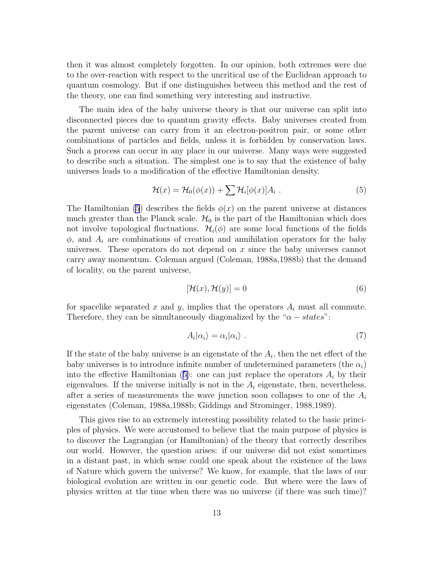then it was almost completely forgotten. In our opinion, both extremes were due to the over-reaction with respect to the uncritical use of the Euclidean approach to quantum cosmology. But if one distinguishes between this method and the rest of the theory, one can find something very interesting and instructive.

The main idea of the baby universe theory is that our universe can split into disconnected pieces due to quantum gravity effects. Baby universes created from the parent universe can carry from it an electron-positron pair, or some other combinations of particles and fields, unless it is forbidden by conservation laws. Such a process can occur in any place in our universe. Many ways were suggested to describe such a situation. The simplest one is to say that the existence of baby universes leads to a modification of the effective Hamiltonian density.

$$
\mathcal{H}(x) = \mathcal{H}_0(\phi(x)) + \sum \mathcal{H}_i[\phi(x)] A_i . \tag{5}
$$

The Hamiltonian (5) describes the fields  $\phi(x)$  on the parent universe at distances much greater than the Planck scale.  $\mathcal{H}_0$  is the part of the Hamiltonian which does not involve topological fluctuations.  $\mathcal{H}_i(\phi)$  are some local functions of the fields  $\phi$ , and  $A_i$  are combinations of creation and annihilation operators for the baby universes. These operators do not depend on  $x$  since the baby universes cannot carry away momentum. Coleman argued (Coleman, 1988a,1988b) that the demand of locality, on the parent universe,

$$
[\mathcal{H}(x), \mathcal{H}(y)] = 0 \tag{6}
$$

for spacelike separated x and y, implies that the operators  $A_i$  must all commute. Therefore, they can be simultaneously diagonalized by the " $\alpha - \text{states}$ ":

$$
A_i|\alpha_i\rangle = \alpha_i|\alpha_i\rangle . \tag{7}
$$

If the state of the baby universe is an eigenstate of the  $A_i$ , then the net effect of the baby universes is to introduce infinite number of undetermined parameters (the  $\alpha_i$ ) into the effective Hamiltonian  $(5)$ : one can just replace the operators  $A_i$  by their eigenvalues. If the universe initially is not in the  $A_i$  eigenstate, then, nevertheless, after a series of measurements the wave junction soon collapses to one of the  $A_i$ eigenstates (Coleman, 1988a,1988b; Giddings and Strominger, 1988,1989).

This gives rise to an extremely interesting possibility related to the basic principles of physics. We were accustomed to believe that the main purpose of physics is to discover the Lagrangian (or Hamiltonian) of the theory that correctly describes our world. However, the question arises: if our universe did not exist sometimes in a distant past, in which sense could one speak about the existence of the laws of Nature which govern the universe? We know, for example, that the laws of our biological evolution are written in our genetic code. But where were the laws of physics written at the time when there was no universe (if there was such time)?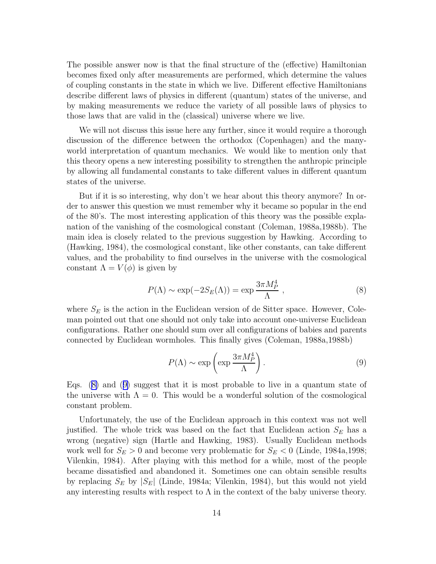The possible answer now is that the final structure of the (effective) Hamiltonian becomes fixed only after measurements are performed, which determine the values of coupling constants in the state in which we live. Different effective Hamiltonians describe different laws of physics in different (quantum) states of the universe, and by making measurements we reduce the variety of all possible laws of physics to those laws that are valid in the (classical) universe where we live.

We will not discuss this issue here any further, since it would require a thorough discussion of the difference between the orthodox (Copenhagen) and the manyworld interpretation of quantum mechanics. We would like to mention only that this theory opens a new interesting possibility to strengthen the anthropic principle by allowing all fundamental constants to take different values in different quantum states of the universe.

But if it is so interesting, why don't we hear about this theory anymore? In order to answer this question we must remember why it became so popular in the end of the 80's. The most interesting application of this theory was the possible explanation of the vanishing of the cosmological constant (Coleman, 1988a,1988b). The main idea is closely related to the previous suggestion by Hawking. According to (Hawking, 1984), the cosmological constant, like other constants, can take different values, and the probability to find ourselves in the universe with the cosmological constant  $\Lambda = V(\phi)$  is given by

$$
P(\Lambda) \sim \exp(-2S_E(\Lambda)) = \exp\frac{3\pi M_P^4}{\Lambda}, \qquad (8)
$$

where  $S_E$  is the action in the Euclidean version of de Sitter space. However, Coleman pointed out that one should not only take into account one-universe Euclidean configurations. Rather one should sum over all configurations of babies and parents connected by Euclidean wormholes. This finally gives (Coleman, 1988a,1988b)

$$
P(\Lambda) \sim \exp\left(\exp\frac{3\pi M_P^4}{\Lambda}\right). \tag{9}
$$

Eqs. (8) and (9) suggest that it is most probable to live in a quantum state of the universe with  $\Lambda = 0$ . This would be a wonderful solution of the cosmological constant problem.

Unfortunately, the use of the Euclidean approach in this context was not well justified. The whole trick was based on the fact that Euclidean action  $S_E$  has a wrong (negative) sign (Hartle and Hawking, 1983). Usually Euclidean methods work well for  $S_E > 0$  and become very problematic for  $S_E < 0$  (Linde, 1984a, 1998; Vilenkin, 1984). After playing with this method for a while, most of the people became dissatisfied and abandoned it. Sometimes one can obtain sensible results by replacing  $S_E$  by  $|S_E|$  (Linde, 1984a; Vilenkin, 1984), but this would not yield any interesting results with respect to  $\Lambda$  in the context of the baby universe theory.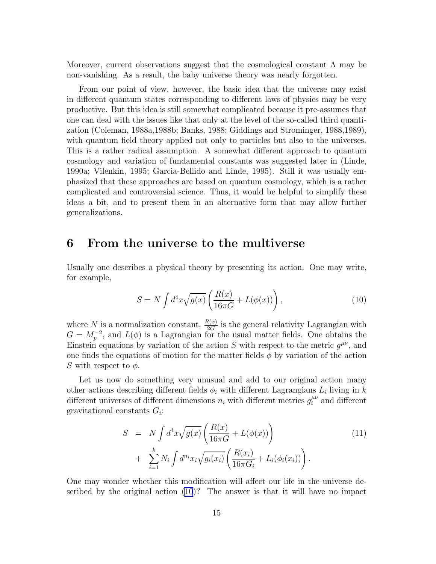<span id="page-14-0"></span>Moreover, current observations suggest that the cosmological constant  $\Lambda$  may be non-vanishing. As a result, the baby universe theory was nearly forgotten.

From our point of view, however, the basic idea that the universe may exist in different quantum states corresponding to different laws of physics may be very productive. But this idea is still somewhat complicated because it pre-assumes that one can deal with the issues like that only at the level of the so-called third quantization (Coleman, 1988a,1988b; Banks, 1988; Giddings and Strominger, 1988,1989), with quantum field theory applied not only to particles but also to the universes. This is a rather radical assumption. A somewhat different approach to quantum cosmology and variation of fundamental constants was suggested later in (Linde, 1990a; Vilenkin, 1995; Garcia-Bellido and Linde, 1995). Still it was usually emphasized that these approaches are based on quantum cosmology, which is a rather complicated and controversial science. Thus, it would be helpful to simplify these ideas a bit, and to present them in an alternative form that may allow further generalizations.

### 6 From the universe to the multiverse

Usually one describes a physical theory by presenting its action. One may write, for example,

$$
S = N \int d^4x \sqrt{g(x)} \left( \frac{R(x)}{16\pi G} + L(\phi(x)) \right), \tag{10}
$$

where N is a normalization constant,  $\frac{R(x)}{2G}$  is the general relativity Lagrangian with  $G = M_p^{-2}$ , and  $L(\phi)$  is a Lagrangian for the usual matter fields. One obtains the Einstein equations by variation of the action S with respect to the metric  $g^{\mu\nu}$ , and one finds the equations of motion for the matter fields  $\phi$  by variation of the action S with respect to  $\phi$ .

Let us now do something very unusual and add to our original action many other actions describing different fields  $\phi_i$  with different Lagrangians  $L_i$  living in k different universes of different dimensions  $n_i$  with different metrics  $g_i^{\mu\nu}$  and different gravitational constants  $G_i$ :

$$
S = N \int d^4x \sqrt{g(x)} \left( \frac{R(x)}{16\pi G} + L(\phi(x)) \right) + \sum_{i=1}^{k} N_i \int d^{n_i}x_i \sqrt{g_i(x_i)} \left( \frac{R(x_i)}{16\pi G_i} + L_i(\phi_i(x_i)) \right).
$$
 (11)

One may wonder whether this modification will affect our life in the universe described by the original action (10)? The answer is that it will have no impact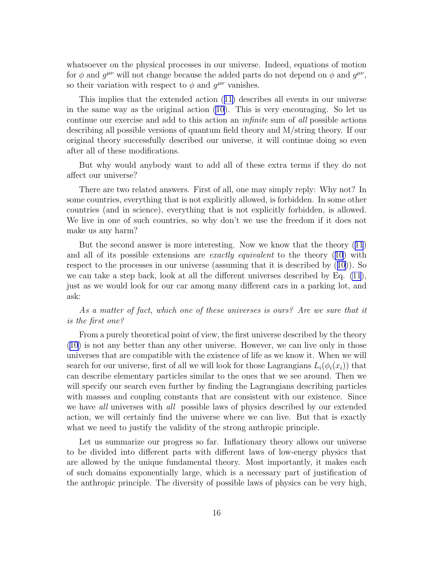whatsoever on the physical processes in our universe. Indeed, equations of motion for  $\phi$  and  $g^{\mu\nu}$  will not change because the added parts do not depend on  $\phi$  and  $g^{\mu\nu}$ , so their variation with respect to  $\phi$  and  $g^{\mu\nu}$  vanishes.

This implies that the extended action ([11\)](#page-14-0) describes all events in our universe in the same way as the original action [\(10](#page-14-0)). This is very encouraging. So let us continue our exercise and add to this action an *infinite* sum of *all* possible actions describing all possible versions of quantum field theory and M/string theory. If our original theory successfully described our universe, it will continue doing so even after all of these modifications.

But why would anybody want to add all of these extra terms if they do not affect our universe?

There are two related answers. First of all, one may simply reply: Why not? In some countries, everything that is not explicitly allowed, is forbidden. In some other countries (and in science), everything that is not explicitly forbidden, is allowed. We live in one of such countries, so why don't we use the freedom if it does not make us any harm?

But the second answer is more interesting. Now we know that the theory ([11](#page-14-0)) and all of its possible extensions are *exactly equivalent* to the theory ([10](#page-14-0)) with respect to the processes in our universe (assuming that it is described by ([10](#page-14-0))). So we can take a step back, look at all the different universes described by Eq. [\(11](#page-14-0)), just as we would look for our car among many different cars in a parking lot, and ask:

*As a matter of fact, which one of these universes is ours? Are we sure that it is the first one?*

From a purely theoretical point of view, the first universe described by the theory [\(10\)](#page-14-0) is not any better than any other universe. However, we can live only in those universes that are compatible with the existence of life as we know it. When we will search for our universe, first of all we will look for those Lagrangians  $L_i(\phi_i(x_i))$  that can describe elementary particles similar to the ones that we see around. Then we will specify our search even further by finding the Lagrangians describing particles with masses and coupling constants that are consistent with our existence. Since we have *all* universes with *all* possible laws of physics described by our extended action, we will certainly find the universe where we can live. But that is exactly what we need to justify the validity of the strong anthropic principle.

Let us summarize our progress so far. Inflationary theory allows our universe to be divided into different parts with different laws of low-energy physics that are allowed by the unique fundamental theory. Most importantly, it makes each of such domains exponentially large, which is a necessary part of justification of the anthropic principle. The diversity of possible laws of physics can be very high,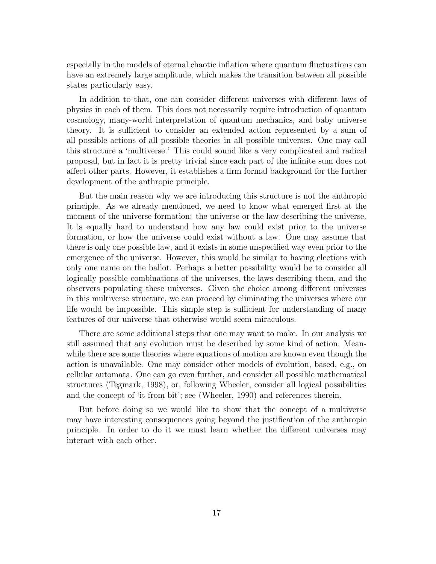especially in the models of eternal chaotic inflation where quantum fluctuations can have an extremely large amplitude, which makes the transition between all possible states particularly easy.

In addition to that, one can consider different universes with different laws of physics in each of them. This does not necessarily require introduction of quantum cosmology, many-world interpretation of quantum mechanics, and baby universe theory. It is sufficient to consider an extended action represented by a sum of all possible actions of all possible theories in all possible universes. One may call this structure a 'multiverse.' This could sound like a very complicated and radical proposal, but in fact it is pretty trivial since each part of the infinite sum does not affect other parts. However, it establishes a firm formal background for the further development of the anthropic principle.

But the main reason why we are introducing this structure is not the anthropic principle. As we already mentioned, we need to know what emerged first at the moment of the universe formation: the universe or the law describing the universe. It is equally hard to understand how any law could exist prior to the universe formation, or how the universe could exist without a law. One may assume that there is only one possible law, and it exists in some unspecified way even prior to the emergence of the universe. However, this would be similar to having elections with only one name on the ballot. Perhaps a better possibility would be to consider all logically possible combinations of the universes, the laws describing them, and the observers populating these universes. Given the choice among different universes in this multiverse structure, we can proceed by eliminating the universes where our life would be impossible. This simple step is sufficient for understanding of many features of our universe that otherwise would seem miraculous.

There are some additional steps that one may want to make. In our analysis we still assumed that any evolution must be described by some kind of action. Meanwhile there are some theories where equations of motion are known even though the action is unavailable. One may consider other models of evolution, based, e.g., on cellular automata. One can go even further, and consider all possible mathematical structures (Tegmark, 1998), or, following Wheeler, consider all logical possibilities and the concept of 'it from bit'; see (Wheeler, 1990) and references therein.

But before doing so we would like to show that the concept of a multiverse may have interesting consequences going beyond the justification of the anthropic principle. In order to do it we must learn whether the different universes may interact with each other.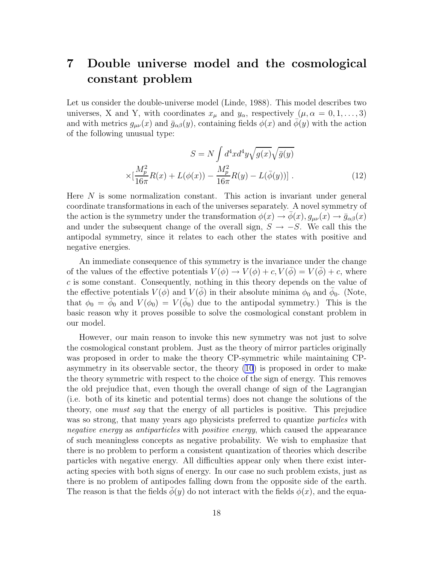# <span id="page-17-0"></span>7 Double universe model and the cosmological constant problem

Let us consider the double-universe model (Linde, 1988). This model describes two universes, X and Y, with coordinates  $x_{\mu}$  and  $y_{\alpha}$ , respectively  $(\mu, \alpha = 0, 1, \ldots, 3)$ and with metrics  $g_{\mu\nu}(x)$  and  $\bar{g}_{\alpha\beta}(y)$ , containing fields  $\phi(x)$  and  $\phi(y)$  with the action of the following unusual type:

$$
S = N \int d^4x d^4y \sqrt{g(x)} \sqrt{\bar{g}(y)}
$$

$$
\times [\frac{M_p^2}{16\pi} R(x) + L(\phi(x)) - \frac{M_p^2}{16\pi} R(y) - L(\bar{\phi}(y))].
$$
 (12)

Here  $N$  is some normalization constant. This action is invariant under general coordinate transformations in each of the universes separately. A novel symmetry of the action is the symmetry under the transformation  $\phi(x) \to \bar{\phi}(x), g_{\mu\nu}(x) \to \bar{g}_{\alpha\beta}(x)$ and under the subsequent change of the overall sign,  $S \rightarrow -S$ . We call this the antipodal symmetry, since it relates to each other the states with positive and negative energies.

An immediate consequence of this symmetry is the invariance under the change of the values of the effective potentials  $V(\phi) \to V(\phi) + c$ ,  $V(\bar{\phi}) = V(\bar{\phi}) + c$ , where  $c$  is some constant. Consequently, nothing in this theory depends on the value of the effective potentials  $V(\phi)$  and  $V(\bar{\phi})$  in their absolute minima  $\phi_0$  and  $\bar{\phi}_0$ . (Note, that  $\phi_0 = \bar{\phi}_0$  and  $V(\phi_0) = V(\bar{\phi}_0)$  due to the antipodal symmetry.) This is the basic reason why it proves possible to solve the cosmological constant problem in our model.

However, our main reason to invoke this new symmetry was not just to solve the cosmological constant problem. Just as the theory of mirror particles originally was proposed in order to make the theory CP-symmetric while maintaining CPasymmetry in its observable sector, the theory [\(10](#page-14-0)) is proposed in order to make the theory symmetric with respect to the choice of the sign of energy. This removes the old prejudice that, even though the overall change of sign of the Lagrangian (i.e. both of its kinetic and potential terms) does not change the solutions of the theory, one *must say* that the energy of all particles is positive. This prejudice was so strong, that many years ago physicists preferred to quantize *particles* with *negative energy* as *antiparticles* with *positive energy*, which caused the appearance of such meaningless concepts as negative probability. We wish to emphasize that there is no problem to perform a consistent quantization of theories which describe particles with negative energy. All difficulties appear only when there exist interacting species with both signs of energy. In our case no such problem exists, just as there is no problem of antipodes falling down from the opposite side of the earth. The reason is that the fields  $\bar{\phi}(y)$  do not interact with the fields  $\phi(x)$ , and the equa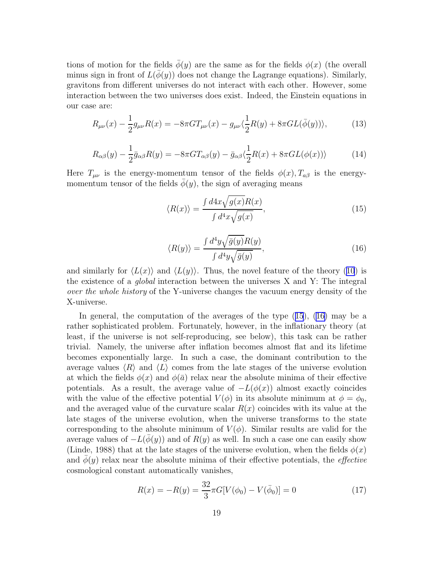<span id="page-18-0"></span>tions of motion for the fields  $\bar{\phi}(y)$  are the same as for the fields  $\phi(x)$  (the overall minus sign in front of  $L(\phi(y))$  does not change the Lagrange equations). Similarly, gravitons from different universes do not interact with each other. However, some interaction between the two universes does exist. Indeed, the Einstein equations in our case are:

$$
R_{\mu\nu}(x) - \frac{1}{2}g_{\mu\nu}R(x) = -8\pi GT_{\mu\nu}(x) - g_{\mu\nu}\langle \frac{1}{2}R(y) + 8\pi GL(\bar{\phi}(y)) \rangle, \tag{13}
$$

$$
R_{\alpha\beta}(y) - \frac{1}{2}\bar{g}_{\alpha\beta}R(y) = -8\pi GT_{\alpha\beta}(y) - \bar{g}_{\alpha\beta}\langle \frac{1}{2}R(x) + 8\pi GL(\phi(x)) \rangle \tag{14}
$$

Here  $T_{\mu\nu}$  is the energy-momentum tensor of the fields  $\phi(x)$ ,  $T_{a\beta}$  is the energymomentum tensor of the fields  $\phi(y)$ , the sign of averaging means

$$
\langle R(x) \rangle = \frac{\int d4x \sqrt{g(x)} R(x)}{\int d^4x \sqrt{g(x)}},\tag{15}
$$

$$
\langle R(y) \rangle = \frac{\int d^4 y \sqrt{\bar{g}(y)} R(y)}{\int d^4 y \sqrt{\bar{g}(y)}},\tag{16}
$$

and similarly for  $\langle L(x)\rangle$  and  $\langle L(y)\rangle$ . Thus, the novel feature of the theory ([10](#page-14-0)) is the existence of a *global* interaction between the universes X and Y: The integral *over the whole history* of the Y-universe changes the vacuum energy density of the X-universe.

In general, the computation of the averages of the type (15), (16) may be a rather sophisticated problem. Fortunately, however, in the inflationary theory (at least, if the universe is not self-reproducing, see below), this task can be rather trivial. Namely, the universe after inflation becomes almost flat and its lifetime becomes exponentially large. In such a case, the dominant contribution to the average values  $\langle R \rangle$  and  $\langle L \rangle$  comes from the late stages of the universe evolution at which the fields  $\phi(x)$  and  $\phi(\bar{a})$  relax near the absolute minima of their effective potentials. As a result, the average value of  $-L(\phi(x))$  almost exactly coincides with the value of the effective potential  $V(\phi)$  in its absolute minimum at  $\phi = \phi_0$ , and the averaged value of the curvature scalar  $R(x)$  coincides with its value at the late stages of the universe evolution, when the universe transforms to the state corresponding to the absolute minimum of  $V(\phi)$ . Similar results are valid for the average values of  $-L(\phi(y))$  and of  $R(y)$  as well. In such a case one can easily show (Linde, 1988) that at the late stages of the universe evolution, when the fields  $\phi(x)$ and  $\phi(y)$  relax near the absolute minima of their effective potentials, the *effective* cosmological constant automatically vanishes,

$$
R(x) = -R(y) = \frac{32}{3}\pi G[V(\phi_0) - V(\bar{\phi}_0)] = 0
$$
\n(17)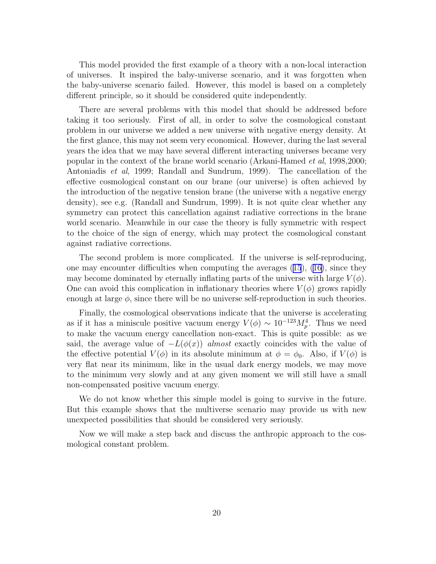This model provided the first example of a theory with a non-local interaction of universes. It inspired the baby-universe scenario, and it was forgotten when the baby-universe scenario failed. However, this model is based on a completely different principle, so it should be considered quite independently.

There are several problems with this model that should be addressed before taking it too seriously. First of all, in order to solve the cosmological constant problem in our universe we added a new universe with negative energy density. At the first glance, this may not seem very economical. However, during the last several years the idea that we may have several different interacting universes became very popular in the context of the brane world scenario (Arkani-Hamed *et al*, 1998,2000; Antoniadis *et al*, 1999; Randall and Sundrum, 1999). The cancellation of the effective cosmological constant on our brane (our universe) is often achieved by the introduction of the negative tension brane (the universe with a negative energy density), see e.g. (Randall and Sundrum, 1999). It is not quite clear whether any symmetry can protect this cancellation against radiative corrections in the brane world scenario. Meanwhile in our case the theory is fully symmetric with respect to the choice of the sign of energy, which may protect the cosmological constant against radiative corrections.

The second problem is more complicated. If the universe is self-reproducing, one may encounter difficulties when computing the averages  $(15)$  $(15)$  $(15)$ ,  $(16)$  $(16)$ , since they may become dominated by eternally inflating parts of the universe with large  $V(\phi)$ . One can avoid this complication in inflationary theories where  $V(\phi)$  grows rapidly enough at large  $\phi$ , since there will be no universe self-reproduction in such theories.

Finally, the cosmological observations indicate that the universe is accelerating as if it has a miniscule positive vacuum energy  $V(\phi) \sim 10^{-123} M_p^4$ . Thus we need to make the vacuum energy cancellation non-exact. This is quite possible: as we said, the average value of  $-L(\phi(x))$  *almost* exactly coincides with the value of the effective potential  $V(\phi)$  in its absolute minimum at  $\phi = \phi_0$ . Also, if  $V(\phi)$  is very flat near its minimum, like in the usual dark energy models, we may move to the minimum very slowly and at any given moment we will still have a small non-compensated positive vacuum energy.

We do not know whether this simple model is going to survive in the future. But this example shows that the multiverse scenario may provide us with new unexpected possibilities that should be considered very seriously.

Now we will make a step back and discuss the anthropic approach to the cosmological constant problem.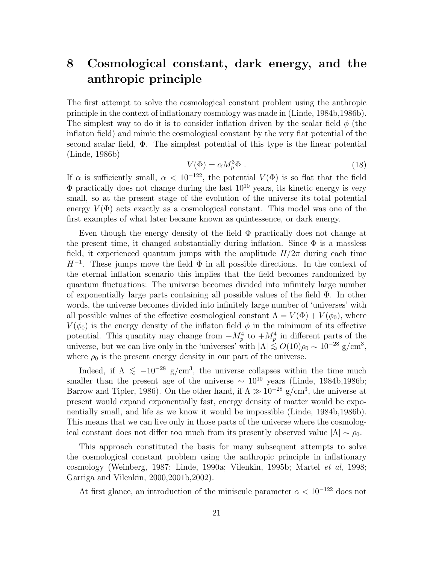# <span id="page-20-0"></span>8 Cosmological constant, dark energy, and the anthropic principle

The first attempt to solve the cosmological constant problem using the anthropic principle in the context of inflationary cosmology was made in (Linde, 1984b,1986b). The simplest way to do it is to consider inflation driven by the scalar field  $\phi$  (the inflaton field) and mimic the cosmological constant by the very flat potential of the second scalar field, Φ. The simplest potential of this type is the linear potential (Linde, 1986b)

$$
V(\Phi) = \alpha M_p^3 \Phi . \tag{18}
$$

If  $\alpha$  is sufficiently small,  $\alpha < 10^{-122}$ , the potential  $V(\Phi)$  is so flat that the field  $\Phi$  practically does not change during the last  $10^{10}$  years, its kinetic energy is very small, so at the present stage of the evolution of the universe its total potential energy  $V(\Phi)$  acts exactly as a cosmological constant. This model was one of the first examples of what later became known as quintessence, or dark energy.

Even though the energy density of the field  $\Phi$  practically does not change at the present time, it changed substantially during inflation. Since  $\Phi$  is a massless field, it experienced quantum jumps with the amplitude  $H/2\pi$  during each time  $H^{-1}$ . These jumps move the field  $\Phi$  in all possible directions. In the context of the eternal inflation scenario this implies that the field becomes randomized by quantum fluctuations: The universe becomes divided into infinitely large number of exponentially large parts containing all possible values of the field Φ. In other words, the universe becomes divided into infinitely large number of 'universes' with all possible values of the effective cosmological constant  $\Lambda = V(\Phi) + V(\phi_0)$ , where  $V(\phi_0)$  is the energy density of the inflaton field  $\phi$  in the minimum of its effective potential. This quantity may change from  $-M_p^4$  to  $+M_p^4$  in different parts of the universe, but we can live only in the 'universes' with  $|\Lambda| \lesssim O(10)\rho_0 \sim 10^{-28}$  g/cm<sup>3</sup>, where  $\rho_0$  is the present energy density in our part of the universe.

Indeed, if  $\Lambda \lesssim -10^{-28}$  g/cm<sup>3</sup>, the universe collapses within the time much smaller than the present age of the universe  $\sim 10^{10}$  years (Linde, 1984b,1986b; Barrow and Tipler, 1986). On the other hand, if  $\Lambda \gg 10^{-28}$  g/cm<sup>3</sup>, the universe at present would expand exponentially fast, energy density of matter would be exponentially small, and life as we know it would be impossible (Linde, 1984b,1986b). This means that we can live only in those parts of the universe where the cosmological constant does not differ too much from its presently observed value  $|\Lambda| \sim \rho_0$ .

This approach constituted the basis for many subsequent attempts to solve the cosmological constant problem using the anthropic principle in inflationary cosmology (Weinberg, 1987; Linde, 1990a; Vilenkin, 1995b; Martel *et al*, 1998; Garriga and Vilenkin, 2000,2001b,2002).

At first glance, an introduction of the miniscule parameter  $\alpha < 10^{-122}$  does not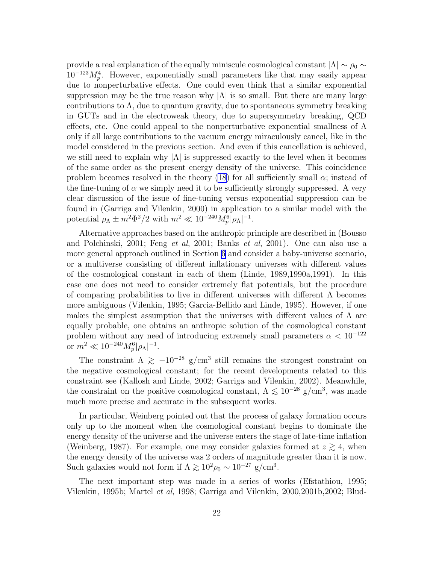provide a real explanation of the equally miniscule cosmological constant  $|\Lambda| \sim \rho_0 \sim$  $10^{-123}M_p^4$ . However, exponentially small parameters like that may easily appear due to nonperturbative effects. One could even think that a similar exponential suppression may be the true reason why  $|\Lambda|$  is so small. But there are many large contributions to  $\Lambda$ , due to quantum gravity, due to spontaneous symmetry breaking in GUTs and in the electroweak theory, due to supersymmetry breaking, QCD effects, etc. One could appeal to the nonperturbative exponential smallness of  $\Lambda$ only if all large contributions to the vacuum energy miraculously cancel, like in the model considered in the previous section. And even if this cancellation is achieved, we still need to explain why  $|\Lambda|$  is suppressed exactly to the level when it becomes of the same order as the present energy density of the universe. This coincidence problem becomes resolved in the theory [\(18](#page-20-0)) for all sufficiently small  $\alpha$ ; instead of the fine-tuning of  $\alpha$  we simply need it to be sufficiently strongly suppressed. A very clear discussion of the issue of fine-tuning versus exponential suppression can be found in (Garriga and Vilenkin, 2000) in application to a similar model with the potential  $\rho_{\Lambda} \pm m^2 \Phi^2 / 2$  with  $m^2 \ll 10^{-240} M_p^6 |\rho_{\Lambda}|^{-1}$ .

Alternative approaches based on the anthropic principle are described in (Bousso and Polchinski, 2001; Feng *et al*, 2001; Banks *et al*, 2001). One can also use a more general approach outlined in Section [6](#page-14-0) and consider a baby-universe scenario, or a multiverse consisting of different inflationary universes with different values of the cosmological constant in each of them (Linde, 1989,1990a,1991). In this case one does not need to consider extremely flat potentials, but the procedure of comparing probabilities to live in different universes with different Λ becomes more ambiguous (Vilenkin, 1995; Garcia-Bellido and Linde, 1995). However, if one makes the simplest assumption that the universes with different values of  $\Lambda$  are equally probable, one obtains an anthropic solution of the cosmological constant problem without any need of introducing extremely small parameters  $\alpha$  <  $10^{-122}$ or  $m^2 \ll 10^{-240} M_p^6 |\rho_\Lambda|^{-1}$ .

The constraint  $\Lambda \gtrsim -10^{-28}$  g/cm<sup>3</sup> still remains the strongest constraint on the negative cosmological constant; for the recent developments related to this constraint see (Kallosh and Linde, 2002; Garriga and Vilenkin, 2002). Meanwhile, the constraint on the positive cosmological constant,  $\Lambda \lesssim 10^{-28}$  g/cm<sup>3</sup>, was made much more precise and accurate in the subsequent works.

In particular, Weinberg pointed out that the process of galaxy formation occurs only up to the moment when the cosmological constant begins to dominate the energy density of the universe and the universe enters the stage of late-time inflation (Weinberg, 1987). For example, one may consider galaxies formed at  $z \gtrsim 4$ , when the energy density of the universe was 2 orders of magnitude greater than it is now. Such galaxies would not form if  $\Lambda \gtrsim 10^2 \rho_0 \sim 10^{-27}$  g/cm<sup>3</sup>.

The next important step was made in a series of works (Efstathiou, 1995; Vilenkin, 1995b; Martel *et al*, 1998; Garriga and Vilenkin, 2000,2001b,2002; Blud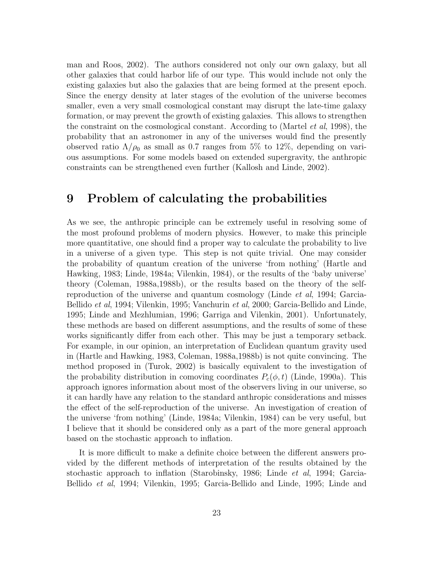<span id="page-22-0"></span>man and Roos, 2002). The authors considered not only our own galaxy, but all other galaxies that could harbor life of our type. This would include not only the existing galaxies but also the galaxies that are being formed at the present epoch. Since the energy density at later stages of the evolution of the universe becomes smaller, even a very small cosmological constant may disrupt the late-time galaxy formation, or may prevent the growth of existing galaxies. This allows to strengthen the constraint on the cosmological constant. According to (Martel *et al*, 1998), the probability that an astronomer in any of the universes would find the presently observed ratio  $\Lambda/\rho_0$  as small as 0.7 ranges from 5% to 12%, depending on various assumptions. For some models based on extended supergravity, the anthropic constraints can be strengthened even further (Kallosh and Linde, 2002).

## 9 Problem of calculating the probabilities

As we see, the anthropic principle can be extremely useful in resolving some of the most profound problems of modern physics. However, to make this principle more quantitative, one should find a proper way to calculate the probability to live in a universe of a given type. This step is not quite trivial. One may consider the probability of quantum creation of the universe 'from nothing' (Hartle and Hawking, 1983; Linde, 1984a; Vilenkin, 1984), or the results of the 'baby universe' theory (Coleman, 1988a,1988b), or the results based on the theory of the selfreproduction of the universe and quantum cosmology (Linde *et al*, 1994; Garcia-Bellido *et al*, 1994; Vilenkin, 1995; Vanchurin *et al*, 2000; Garcia-Bellido and Linde, 1995; Linde and Mezhlumian, 1996; Garriga and Vilenkin, 2001). Unfortunately, these methods are based on different assumptions, and the results of some of these works significantly differ from each other. This may be just a temporary setback. For example, in our opinion, an interpretation of Euclidean quantum gravity used in (Hartle and Hawking, 1983, Coleman, 1988a,1988b) is not quite convincing. The method proposed in (Turok, 2002) is basically equivalent to the investigation of the probability distribution in comoving coordinates  $P_c(\phi, t)$  (Linde, 1990a). This approach ignores information about most of the observers living in our universe, so it can hardly have any relation to the standard anthropic considerations and misses the effect of the self-reproduction of the universe. An investigation of creation of the universe 'from nothing' (Linde, 1984a; Vilenkin, 1984) can be very useful, but I believe that it should be considered only as a part of the more general approach based on the stochastic approach to inflation.

It is more difficult to make a definite choice between the different answers provided by the different methods of interpretation of the results obtained by the stochastic approach to inflation (Starobinsky, 1986; Linde *et al*, 1994; Garcia-Bellido *et al*, 1994; Vilenkin, 1995; Garcia-Bellido and Linde, 1995; Linde and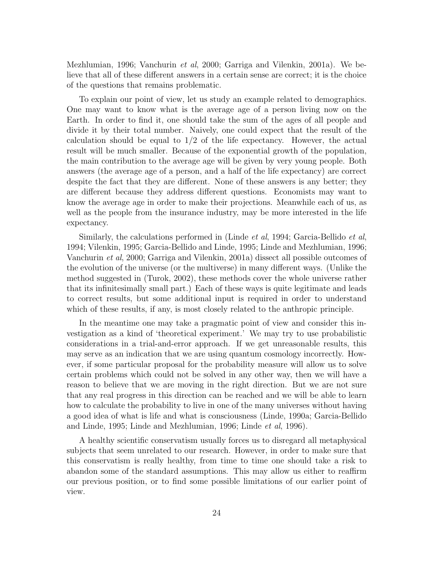Mezhlumian, 1996; Vanchurin *et al*, 2000; Garriga and Vilenkin, 2001a). We believe that all of these different answers in a certain sense are correct; it is the choice of the questions that remains problematic.

To explain our point of view, let us study an example related to demographics. One may want to know what is the average age of a person living now on the Earth. In order to find it, one should take the sum of the ages of all people and divide it by their total number. Naively, one could expect that the result of the calculation should be equal to  $1/2$  of the life expectancy. However, the actual result will be much smaller. Because of the exponential growth of the population, the main contribution to the average age will be given by very young people. Both answers (the average age of a person, and a half of the life expectancy) are correct despite the fact that they are different. None of these answers is any better; they are different because they address different questions. Economists may want to know the average age in order to make their projections. Meanwhile each of us, as well as the people from the insurance industry, may be more interested in the life expectancy.

Similarly, the calculations performed in (Linde *et al*, 1994; Garcia-Bellido *et al*, 1994; Vilenkin, 1995; Garcia-Bellido and Linde, 1995; Linde and Mezhlumian, 1996; Vanchurin *et al*, 2000; Garriga and Vilenkin, 2001a) dissect all possible outcomes of the evolution of the universe (or the multiverse) in many different ways. (Unlike the method suggested in (Turok, 2002), these methods cover the whole universe rather that its infinitesimally small part.) Each of these ways is quite legitimate and leads to correct results, but some additional input is required in order to understand which of these results, if any, is most closely related to the anthropic principle.

In the meantime one may take a pragmatic point of view and consider this investigation as a kind of 'theoretical experiment.' We may try to use probabilistic considerations in a trial-and-error approach. If we get unreasonable results, this may serve as an indication that we are using quantum cosmology incorrectly. However, if some particular proposal for the probability measure will allow us to solve certain problems which could not be solved in any other way, then we will have a reason to believe that we are moving in the right direction. But we are not sure that any real progress in this direction can be reached and we will be able to learn how to calculate the probability to live in one of the many universes without having a good idea of what is life and what is consciousness (Linde, 1990a; Garcia-Bellido and Linde, 1995; Linde and Mezhlumian, 1996; Linde *et al*, 1996).

A healthy scientific conservatism usually forces us to disregard all metaphysical subjects that seem unrelated to our research. However, in order to make sure that this conservatism is really healthy, from time to time one should take a risk to abandon some of the standard assumptions. This may allow us either to reaffirm our previous position, or to find some possible limitations of our earlier point of view.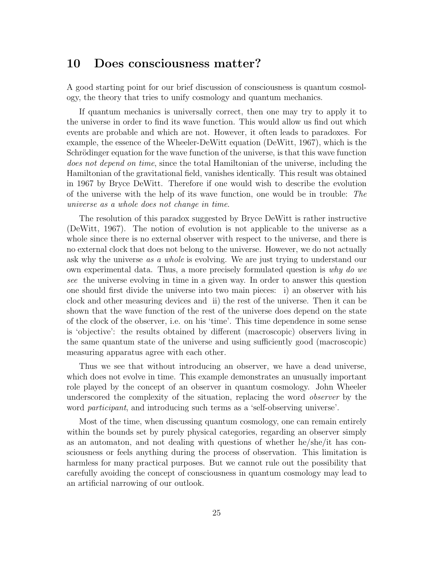#### <span id="page-24-0"></span>10 Does consciousness matter?

A good starting point for our brief discussion of consciousness is quantum cosmology, the theory that tries to unify cosmology and quantum mechanics.

If quantum mechanics is universally correct, then one may try to apply it to the universe in order to find its wave function. This would allow us find out which events are probable and which are not. However, it often leads to paradoxes. For example, the essence of the Wheeler-DeWitt equation (DeWitt, 1967), which is the Schrödinger equation for the wave function of the universe, is that this wave function *does not depend on time*, since the total Hamiltonian of the universe, including the Hamiltonian of the gravitational field, vanishes identically. This result was obtained in 1967 by Bryce DeWitt. Therefore if one would wish to describe the evolution of the universe with the help of its wave function, one would be in trouble: *The universe as a whole does not change in time*.

The resolution of this paradox suggested by Bryce DeWitt is rather instructive (DeWitt, 1967). The notion of evolution is not applicable to the universe as a whole since there is no external observer with respect to the universe, and there is no external clock that does not belong to the universe. However, we do not actually ask why the universe *as a whole* is evolving. We are just trying to understand our own experimental data. Thus, a more precisely formulated question is *why do we see* the universe evolving in time in a given way. In order to answer this question one should first divide the universe into two main pieces: i) an observer with his clock and other measuring devices and ii) the rest of the universe. Then it can be shown that the wave function of the rest of the universe does depend on the state of the clock of the observer, i.e. on his 'time'. This time dependence in some sense is 'objective': the results obtained by different (macroscopic) observers living in the same quantum state of the universe and using sufficiently good (macroscopic) measuring apparatus agree with each other.

Thus we see that without introducing an observer, we have a dead universe, which does not evolve in time. This example demonstrates an unusually important role played by the concept of an observer in quantum cosmology. John Wheeler underscored the complexity of the situation, replacing the word *observer* by the word *participant*, and introducing such terms as a 'self-observing universe'.

Most of the time, when discussing quantum cosmology, one can remain entirely within the bounds set by purely physical categories, regarding an observer simply as an automaton, and not dealing with questions of whether he/she/it has consciousness or feels anything during the process of observation. This limitation is harmless for many practical purposes. But we cannot rule out the possibility that carefully avoiding the concept of consciousness in quantum cosmology may lead to an artificial narrowing of our outlook.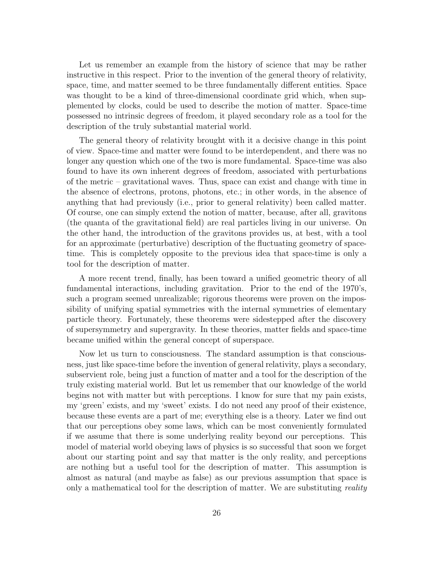Let us remember an example from the history of science that may be rather instructive in this respect. Prior to the invention of the general theory of relativity, space, time, and matter seemed to be three fundamentally different entities. Space was thought to be a kind of three-dimensional coordinate grid which, when supplemented by clocks, could be used to describe the motion of matter. Space-time possessed no intrinsic degrees of freedom, it played secondary role as a tool for the description of the truly substantial material world.

The general theory of relativity brought with it a decisive change in this point of view. Space-time and matter were found to be interdependent, and there was no longer any question which one of the two is more fundamental. Space-time was also found to have its own inherent degrees of freedom, associated with perturbations of the metric – gravitational waves. Thus, space can exist and change with time in the absence of electrons, protons, photons, etc.; in other words, in the absence of anything that had previously (i.e., prior to general relativity) been called matter. Of course, one can simply extend the notion of matter, because, after all, gravitons (the quanta of the gravitational field) are real particles living in our universe. On the other hand, the introduction of the gravitons provides us, at best, with a tool for an approximate (perturbative) description of the fluctuating geometry of spacetime. This is completely opposite to the previous idea that space-time is only a tool for the description of matter.

A more recent trend, finally, has been toward a unified geometric theory of all fundamental interactions, including gravitation. Prior to the end of the 1970's, such a program seemed unrealizable; rigorous theorems were proven on the impossibility of unifying spatial symmetries with the internal symmetries of elementary particle theory. Fortunately, these theorems were sidestepped after the discovery of supersymmetry and supergravity. In these theories, matter fields and space-time became unified within the general concept of superspace.

Now let us turn to consciousness. The standard assumption is that consciousness, just like space-time before the invention of general relativity, plays a secondary, subservient role, being just a function of matter and a tool for the description of the truly existing material world. But let us remember that our knowledge of the world begins not with matter but with perceptions. I know for sure that my pain exists, my 'green' exists, and my 'sweet' exists. I do not need any proof of their existence, because these events are a part of me; everything else is a theory. Later we find out that our perceptions obey some laws, which can be most conveniently formulated if we assume that there is some underlying reality beyond our perceptions. This model of material world obeying laws of physics is so successful that soon we forget about our starting point and say that matter is the only reality, and perceptions are nothing but a useful tool for the description of matter. This assumption is almost as natural (and maybe as false) as our previous assumption that space is only a mathematical tool for the description of matter. We are substituting *reality*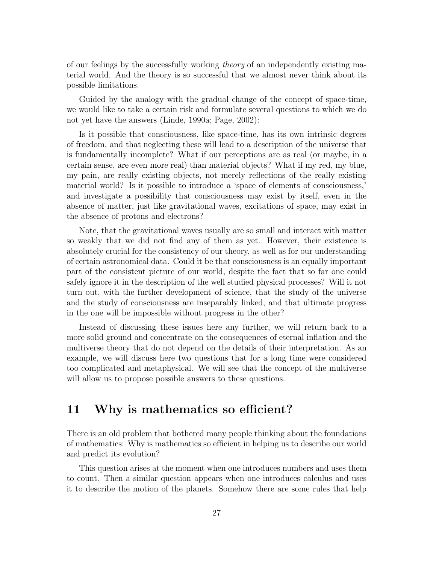<span id="page-26-0"></span>of our feelings by the successfully working *theory* of an independently existing material world. And the theory is so successful that we almost never think about its possible limitations.

Guided by the analogy with the gradual change of the concept of space-time, we would like to take a certain risk and formulate several questions to which we do not yet have the answers (Linde, 1990a; Page, 2002):

Is it possible that consciousness, like space-time, has its own intrinsic degrees of freedom, and that neglecting these will lead to a description of the universe that is fundamentally incomplete? What if our perceptions are as real (or maybe, in a certain sense, are even more real) than material objects? What if my red, my blue, my pain, are really existing objects, not merely reflections of the really existing material world? Is it possible to introduce a 'space of elements of consciousness,' and investigate a possibility that consciousness may exist by itself, even in the absence of matter, just like gravitational waves, excitations of space, may exist in the absence of protons and electrons?

Note, that the gravitational waves usually are so small and interact with matter so weakly that we did not find any of them as yet. However, their existence is absolutely crucial for the consistency of our theory, as well as for our understanding of certain astronomical data. Could it be that consciousness is an equally important part of the consistent picture of our world, despite the fact that so far one could safely ignore it in the description of the well studied physical processes? Will it not turn out, with the further development of science, that the study of the universe and the study of consciousness are inseparably linked, and that ultimate progress in the one will be impossible without progress in the other?

Instead of discussing these issues here any further, we will return back to a more solid ground and concentrate on the consequences of eternal inflation and the multiverse theory that do not depend on the details of their interpretation. As an example, we will discuss here two questions that for a long time were considered too complicated and metaphysical. We will see that the concept of the multiverse will allow us to propose possible answers to these questions.

### 11 Why is mathematics so efficient?

There is an old problem that bothered many people thinking about the foundations of mathematics: Why is mathematics so efficient in helping us to describe our world and predict its evolution?

This question arises at the moment when one introduces numbers and uses them to count. Then a similar question appears when one introduces calculus and uses it to describe the motion of the planets. Somehow there are some rules that help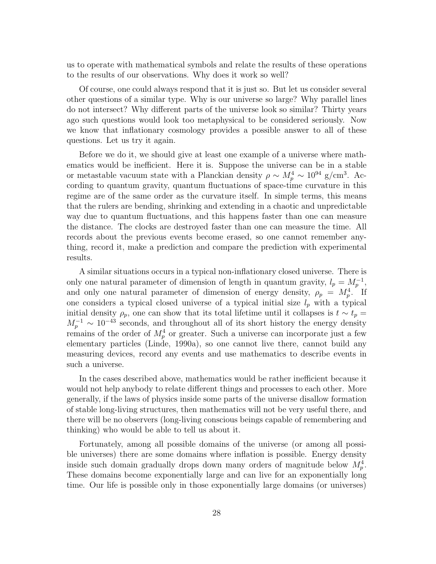us to operate with mathematical symbols and relate the results of these operations to the results of our observations. Why does it work so well?

Of course, one could always respond that it is just so. But let us consider several other questions of a similar type. Why is our universe so large? Why parallel lines do not intersect? Why different parts of the universe look so similar? Thirty years ago such questions would look too metaphysical to be considered seriously. Now we know that inflationary cosmology provides a possible answer to all of these questions. Let us try it again.

Before we do it, we should give at least one example of a universe where mathematics would be inefficient. Here it is. Suppose the universe can be in a stable or metastable vacuum state with a Planckian density  $\rho \sim M_p^4 \sim 10^{94}$  g/cm<sup>3</sup>. According to quantum gravity, quantum fluctuations of space-time curvature in this regime are of the same order as the curvature itself. In simple terms, this means that the rulers are bending, shrinking and extending in a chaotic and unpredictable way due to quantum fluctuations, and this happens faster than one can measure the distance. The clocks are destroyed faster than one can measure the time. All records about the previous events become erased, so one cannot remember anything, record it, make a prediction and compare the prediction with experimental results.

A similar situations occurs in a typical non-inflationary closed universe. There is only one natural parameter of dimension of length in quantum gravity,  $l_p = M_p^{-1}$ , and only one natural parameter of dimension of energy density,  $\rho_p = M_p^4$ . If one considers a typical closed universe of a typical initial size  $l_p$  with a typical initial density  $\rho_p$ , one can show that its total lifetime until it collapses is  $t \sim t_p =$  $M_p^{-1} \sim 10^{-43}$  seconds, and throughout all of its short history the energy density remains of the order of  $M_p^4$  or greater. Such a universe can incorporate just a few elementary particles (Linde, 1990a), so one cannot live there, cannot build any measuring devices, record any events and use mathematics to describe events in such a universe.

In the cases described above, mathematics would be rather inefficient because it would not help anybody to relate different things and processes to each other. More generally, if the laws of physics inside some parts of the universe disallow formation of stable long-living structures, then mathematics will not be very useful there, and there will be no observers (long-living conscious beings capable of remembering and thinking) who would be able to tell us about it.

Fortunately, among all possible domains of the universe (or among all possible universes) there are some domains where inflation is possible. Energy density inside such domain gradually drops down many orders of magnitude below  $M_p^4$ . These domains become exponentially large and can live for an exponentially long time. Our life is possible only in those exponentially large domains (or universes)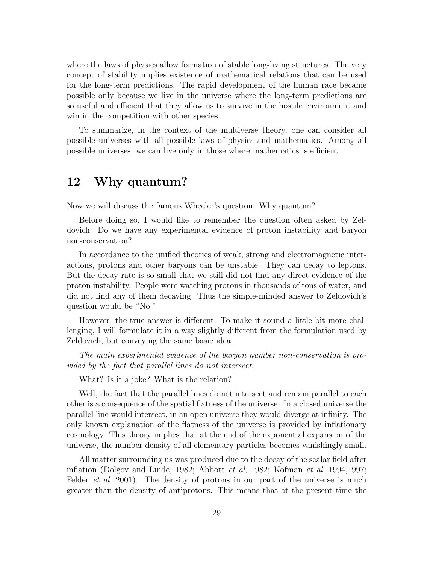<span id="page-28-0"></span>where the laws of physics allow formation of stable long-living structures. The very concept of stability implies existence of mathematical relations that can be used for the long-term predictions. The rapid development of the human race became possible only because we live in the universe where the long-term predictions are so useful and efficient that they allow us to survive in the hostile environment and win in the competition with other species.

To summarize, in the context of the multiverse theory, one can consider all possible universes with all possible laws of physics and mathematics. Among all possible universes, we can live only in those where mathematics is efficient.

### 12 Why quantum?

Now we will discuss the famous Wheeler's question: Why quantum?

Before doing so, I would like to remember the question often asked by Zeldovich: Do we have any experimental evidence of proton instability and baryon non-conservation?

In accordance to the unified theories of weak, strong and electromagnetic interactions, protons and other baryons can be unstable. They can decay to leptons. But the decay rate is so small that we still did not find any direct evidence of the proton instability. People were watching protons in thousands of tons of water, and did not find any of them decaying. Thus the simple-minded answer to Zeldovich's question would be "No."

However, the true answer is different. To make it sound a little bit more challenging, I will formulate it in a way slightly different from the formulation used by Zeldovich, but conveying the same basic idea.

*The main experimental evidence of the baryon number non-conservation is provided by the fact that parallel lines do not intersect.*

What? Is it a joke? What is the relation?

Well, the fact that the parallel lines do not intersect and remain parallel to each other is a consequence of the spatial flatness of the universe. In a closed universe the parallel line would intersect, in an open universe they would diverge at infinity. The only known explanation of the flatness of the universe is provided by inflationary cosmology. This theory implies that at the end of the exponential expansion of the universe, the number density of all elementary particles becomes vanishingly small.

All matter surrounding us was produced due to the decay of the scalar field after inflation (Dolgov and Linde, 1982; Abbott *et al*, 1982; Kofman *et al*, 1994,1997; Felder *et al*, 2001). The density of protons in our part of the universe is much greater than the density of antiprotons. This means that at the present time the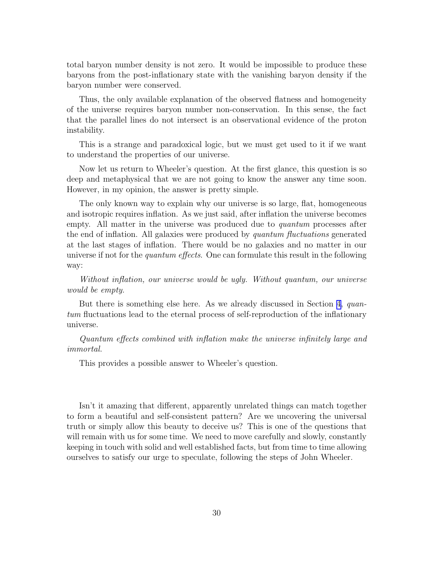total baryon number density is not zero. It would be impossible to produce these baryons from the post-inflationary state with the vanishing baryon density if the baryon number were conserved.

Thus, the only available explanation of the observed flatness and homogeneity of the universe requires baryon number non-conservation. In this sense, the fact that the parallel lines do not intersect is an observational evidence of the proton instability.

This is a strange and paradoxical logic, but we must get used to it if we want to understand the properties of our universe.

Now let us return to Wheeler's question. At the first glance, this question is so deep and metaphysical that we are not going to know the answer any time soon. However, in my opinion, the answer is pretty simple.

The only known way to explain why our universe is so large, flat, homogeneous and isotropic requires inflation. As we just said, after inflation the universe becomes empty. All matter in the universe was produced due to *quantum* processes after the end of inflation. All galaxies were produced by *quantum fluctuations* generated at the last stages of inflation. There would be no galaxies and no matter in our universe if not for the *quantum effects*. One can formulate this result in the following way:

*Without inflation, our universe would be ugly. Without quantum, our universe would be empty.*

But there is something else here. As we already discussed in Section [4,](#page-7-0) *quantum* fluctuations lead to the eternal process of self-reproduction of the inflationary universe.

*Quantum effects combined with inflation make the universe infinitely large and immortal.*

This provides a possible answer to Wheeler's question.

Isn't it amazing that different, apparently unrelated things can match together to form a beautiful and self-consistent pattern? Are we uncovering the universal truth or simply allow this beauty to deceive us? This is one of the questions that will remain with us for some time. We need to move carefully and slowly, constantly keeping in touch with solid and well established facts, but from time to time allowing ourselves to satisfy our urge to speculate, following the steps of John Wheeler.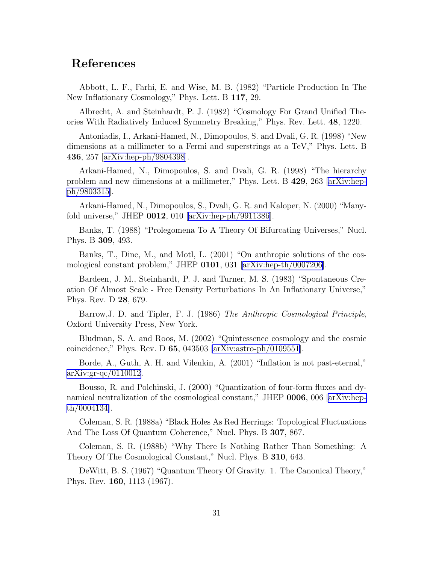## References

Abbott, L. F., Farhi, E. and Wise, M. B. (1982) "Particle Production In The New Inflationary Cosmology," Phys. Lett. B 117, 29.

Albrecht, A. and Steinhardt, P. J. (1982) "Cosmology For Grand Unified Theories With Radiatively Induced Symmetry Breaking," Phys. Rev. Lett. 48, 1220.

Antoniadis, I., Arkani-Hamed, N., Dimopoulos, S. and Dvali, G. R. (1998) "New dimensions at a millimeter to a Fermi and superstrings at a TeV," Phys. Lett. B 436, 257[[arXiv:hep-ph/9804398\]](http://arXiv.org/abs/hep-ph/9804398).

Arkani-Hamed, N., Dimopoulos, S. and Dvali, G. R. (1998) "The hierarchy problem and new dimensions at a millimeter," Phys. Lett. B 429, 263 [\[arXiv:hep](http://arXiv.org/abs/hep-ph/9803315)[ph/9803315\]](http://arXiv.org/abs/hep-ph/9803315).

Arkani-Hamed, N., Dimopoulos, S., Dvali, G. R. and Kaloper, N. (2000) "Manyfold universe," JHEP 0012, 010[[arXiv:hep-ph/9911386\]](http://arXiv.org/abs/hep-ph/9911386).

Banks, T. (1988) "Prolegomena To A Theory Of Bifurcating Universes," Nucl. Phys. B 309, 493.

Banks, T., Dine, M., and Motl, L. (2001) "On anthropic solutions of the cosmological constant problem," JHEP 0101, 031[[arXiv:hep-th/0007206\]](http://arXiv.org/abs/hep-th/0007206).

Bardeen, J. M., Steinhardt, P. J. and Turner, M. S. (1983) "Spontaneous Creation Of Almost Scale - Free Density Perturbations In An Inflationary Universe," Phys. Rev. D 28, 679.

Barrow,J. D. and Tipler, F. J. (1986) *The Anthropic Cosmological Principle*, Oxford University Press, New York.

Bludman, S. A. and Roos, M. (2002) "Quintessence cosmology and the cosmic coincidence," Phys. Rev. D 65, 043503 [\[arXiv:astro-ph/0109551\]](http://arXiv.org/abs/astro-ph/0109551).

Borde, A., Guth, A. H. and Vilenkin, A. (2001) "Inflation is not past-eternal," [arXiv:gr-qc/0110012](http://arXiv.org/abs/gr-qc/0110012).

Bousso, R. and Polchinski, J. (2000) "Quantization of four-form fluxes and dy-namical neutralization of the cosmological constant," JHEP 0006, 006 [\[arXiv:hep](http://arXiv.org/abs/hep-th/0004134)[th/0004134\]](http://arXiv.org/abs/hep-th/0004134).

Coleman, S. R. (1988a) "Black Holes As Red Herrings: Topological Fluctuations And The Loss Of Quantum Coherence," Nucl. Phys. B **307**, 867.

Coleman, S. R. (1988b) "Why There Is Nothing Rather Than Something: A Theory Of The Cosmological Constant," Nucl. Phys. B 310, 643.

DeWitt, B. S. (1967) "Quantum Theory Of Gravity. 1. The Canonical Theory," Phys. Rev. 160, 1113 (1967).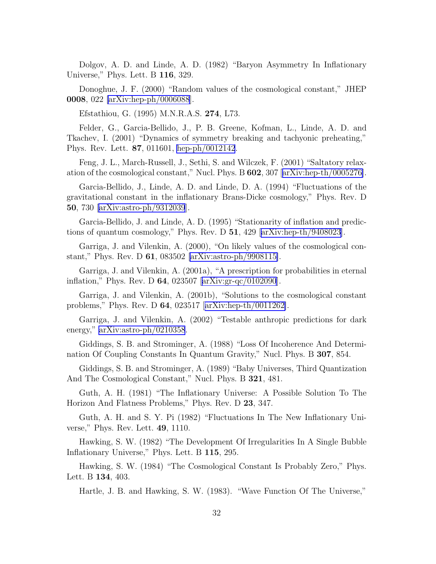Dolgov, A. D. and Linde, A. D. (1982) "Baryon Asymmetry In Inflationary Universe," Phys. Lett. B 116, 329.

Donoghue, J. F. (2000) "Random values of the cosmological constant," JHEP 0008, 022 [\[arXiv:hep-ph/0006088](http://arXiv.org/abs/hep-ph/0006088)].

Efstathiou, G. (1995) M.N.R.A.S. 274, L73.

Felder, G., Garcia-Bellido, J., P. B. Greene, Kofman, L., Linde, A. D. and Tkachev, I. (2001) "Dynamics of symmetry breaking and tachyonic preheating," Phys. Rev. Lett. 87, 011601, [hep-ph/0012142](http://arXiv.org/abs/hep-ph/0012142).

Feng, J. L., March-Russell, J., Sethi, S. and Wilczek, F. (2001) "Saltatory relaxation of the cosmological constant," Nucl. Phys. B 602, 307[[arXiv:hep-th/0005276\]](http://arXiv.org/abs/hep-th/0005276).

Garcia-Bellido, J., Linde, A. D. and Linde, D. A. (1994) "Fluctuations of the gravitational constant in the inflationary Brans-Dicke cosmology," Phys. Rev. D 50, 730[[arXiv:astro-ph/9312039](http://arXiv.org/abs/astro-ph/9312039)].

Garcia-Bellido, J. and Linde, A. D. (1995) "Stationarity of inflation and predictions of quantum cosmology," Phys. Rev. D 51, 429[[arXiv:hep-th/9408023\]](http://arXiv.org/abs/hep-th/9408023).

Garriga, J. and Vilenkin, A. (2000), "On likely values of the cosmological constant," Phys. Rev. D 61, 083502 [\[arXiv:astro-ph/9908115\]](http://arXiv.org/abs/astro-ph/9908115).

Garriga, J. and Vilenkin, A. (2001a), "A prescription for probabilities in eternal inflation," Phys. Rev. D 64, 023507[[arXiv:gr-qc/0102090](http://arXiv.org/abs/gr-qc/0102090)].

Garriga, J. and Vilenkin, A. (2001b), "Solutions to the cosmological constant problems," Phys. Rev. D 64, 023517[[arXiv:hep-th/0011262\]](http://arXiv.org/abs/hep-th/0011262).

Garriga, J. and Vilenkin, A. (2002) "Testable anthropic predictions for dark energy," [arXiv:astro-ph/0210358](http://arXiv.org/abs/astro-ph/0210358).

Giddings, S. B. and Strominger, A. (1988) "Loss Of Incoherence And Determination Of Coupling Constants In Quantum Gravity," Nucl. Phys. B 307, 854.

Giddings, S. B. and Strominger, A. (1989) "Baby Universes, Third Quantization And The Cosmological Constant," Nucl. Phys. B 321, 481.

Guth, A. H. (1981) "The Inflationary Universe: A Possible Solution To The Horizon And Flatness Problems," Phys. Rev. D 23, 347.

Guth, A. H. and S. Y. Pi (1982) "Fluctuations In The New Inflationary Universe," Phys. Rev. Lett. 49, 1110.

Hawking, S. W. (1982) "The Development Of Irregularities In A Single Bubble Inflationary Universe," Phys. Lett. B 115, 295.

Hawking, S. W. (1984) "The Cosmological Constant Is Probably Zero," Phys. Lett. B 134, 403.

Hartle, J. B. and Hawking, S. W. (1983). "Wave Function Of The Universe,"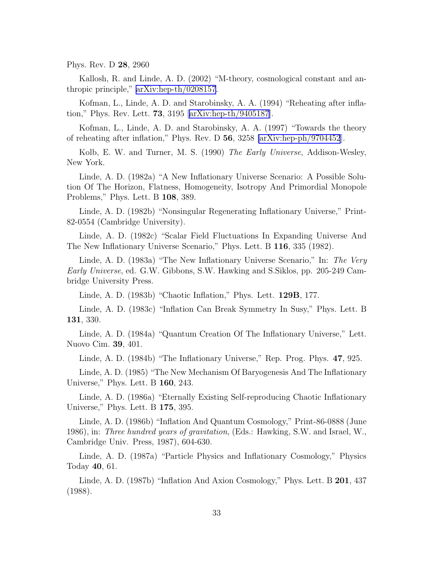Phys. Rev. D 28, 2960

Kallosh, R. and Linde, A. D. (2002) "M-theory, cosmological constant and anthropic principle," [arXiv:hep-th/0208157](http://arXiv.org/abs/hep-th/0208157).

Kofman, L., Linde, A. D. and Starobinsky, A. A. (1994) "Reheating after inflation," Phys. Rev. Lett. 73, 3195[[arXiv:hep-th/9405187\]](http://arXiv.org/abs/hep-th/9405187).

Kofman, L., Linde, A. D. and Starobinsky, A. A. (1997) "Towards the theory of reheating after inflation," Phys. Rev. D 56, 3258 [\[arXiv:hep-ph/9704452](http://arXiv.org/abs/hep-ph/9704452)].

Kolb, E. W. and Turner, M. S. (1990) *The Early Universe*, Addison-Wesley, New York.

Linde, A. D. (1982a) "A New Inflationary Universe Scenario: A Possible Solution Of The Horizon, Flatness, Homogeneity, Isotropy And Primordial Monopole Problems," Phys. Lett. B 108, 389.

Linde, A. D. (1982b) "Nonsingular Regenerating Inflationary Universe," Print-82-0554 (Cambridge University).

Linde, A. D. (1982c) "Scalar Field Fluctuations In Expanding Universe And The New Inflationary Universe Scenario," Phys. Lett. B 116, 335 (1982).

Linde, A. D. (1983a) "The New Inflationary Universe Scenario," In: *The Very Early Universe*, ed. G.W. Gibbons, S.W. Hawking and S.Siklos, pp. 205-249 Cambridge University Press.

Linde, A. D. (1983b) "Chaotic Inflation," Phys. Lett. 129B, 177.

Linde, A. D. (1983c) "Inflation Can Break Symmetry In Susy," Phys. Lett. B 131, 330.

Linde, A. D. (1984a) "Quantum Creation Of The Inflationary Universe," Lett. Nuovo Cim. 39, 401.

Linde, A. D. (1984b) "The Inflationary Universe," Rep. Prog. Phys. 47, 925.

Linde, A. D. (1985) "The New Mechanism Of Baryogenesis And The Inflationary Universe," Phys. Lett. B 160, 243.

Linde, A. D. (1986a) "Eternally Existing Self-reproducing Chaotic Inflationary Universe," Phys. Lett. B 175, 395.

Linde, A. D. (1986b) "Inflation And Quantum Cosmology," Print-86-0888 (June 1986), in: *Three hundred years of gravitation*, (Eds.: Hawking, S.W. and Israel, W., Cambridge Univ. Press, 1987), 604-630.

Linde, A. D. (1987a) "Particle Physics and Inflationary Cosmology," Physics Today 40, 61.

Linde, A. D. (1987b) "Inflation And Axion Cosmology," Phys. Lett. B 201, 437 (1988).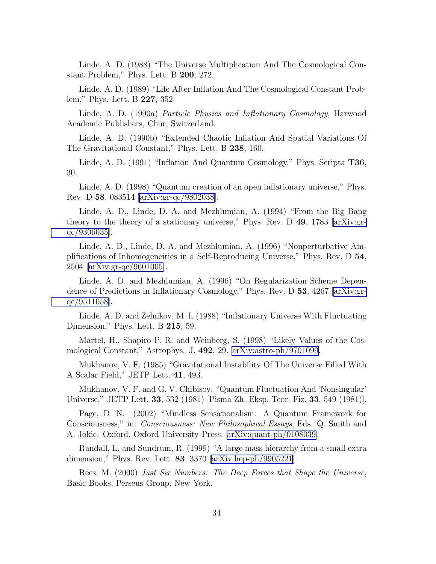Linde, A. D. (1988) "The Universe Multiplication And The Cosmological Constant Problem," Phys. Lett. B 200, 272.

Linde, A. D. (1989) "Life After Inflation And The Cosmological Constant Problem," Phys. Lett. B 227, 352.

Linde, A. D. (1990a) *Particle Physics and Inflationary Cosmology*, Harwood Academic Publishers, Chur, Switzerland.

Linde, A. D. (1990b) "Extended Chaotic Inflation And Spatial Variations Of The Gravitational Constant," Phys. Lett. B 238, 160.

Linde, A. D. (1991) "Inflation And Quantum Cosmology," Phys. Scripta T36, 30.

Linde, A. D. (1998) "Quantum creation of an open inflationary universe," Phys. Rev. D 58, 083514 [\[arXiv:gr-qc/9802038](http://arXiv.org/abs/gr-qc/9802038)].

Linde, A. D., Linde, D. A. and Mezhlumian, A. (1994) "From the Big Bang theory to the theory of a stationary universe," Phys. Rev. D 49, 1783[[arXiv:gr](http://arXiv.org/abs/gr-qc/9306035)[qc/9306035\]](http://arXiv.org/abs/gr-qc/9306035).

Linde, A. D., Linde, D. A. and Mezhlumian, A. (1996) "Nonperturbative Amplifications of Inhomogeneities in a Self-Reproducing Universe," Phys. Rev. D 54, 2504 [\[arXiv:gr-qc/9601005\]](http://arXiv.org/abs/gr-qc/9601005).

Linde, A. D. and Mezhlumian, A. (1996) "On Regularization Scheme Dependence of Predictions in Inflationary Cosmology," Phys. Rev. D 53, 4267[[arXiv:gr](http://arXiv.org/abs/gr-qc/9511058)[qc/9511058\]](http://arXiv.org/abs/gr-qc/9511058).

Linde, A. D. and Zelnikov, M. I. (1988) "Inflationary Universe With Fluctuating Dimension," Phys. Lett. B 215, 59.

Martel, H., Shapiro P. R. and Weinberg, S. (1998) "Likely Values of the Cosmological Constant," Astrophys. J. 492, 29. [arXiv:astro-ph/9701099](http://arXiv.org/abs/astro-ph/9701099).

Mukhanov, V. F. (1985) "Gravitational Instability Of The Universe Filled With A Scalar Field," JETP Lett. 41, 493.

Mukhanov, V. F. and G. V. Chibisov, "Quantum Fluctuation And 'Nonsingular' Universe," JETP Lett. 33, 532 (1981) [Pisma Zh. Eksp. Teor. Fiz. 33, 549 (1981)].

Page, D. N. (2002) "Mindless Sensationalism: A Quantum Framework for Consciousness," in: *Consciousness: New Philosophical Essays*, Eds. Q. Smith and A. Jokic. Oxford, Oxford University Press. [arXiv:quant-ph/0108039.](http://arXiv.org/abs/quant-ph/0108039)

Randall, L, and Sundrum, R. (1999) "A large mass hierarchy from a small extra dimension," Phys. Rev. Lett. 83, 3370 [\[arXiv:hep-ph/9905221](http://arXiv.org/abs/hep-ph/9905221)].

Rees, M. (2000) *Just Six Numbers: The Deep Forces that Shape the Universe*, Basic Books, Perseus Group, New York.